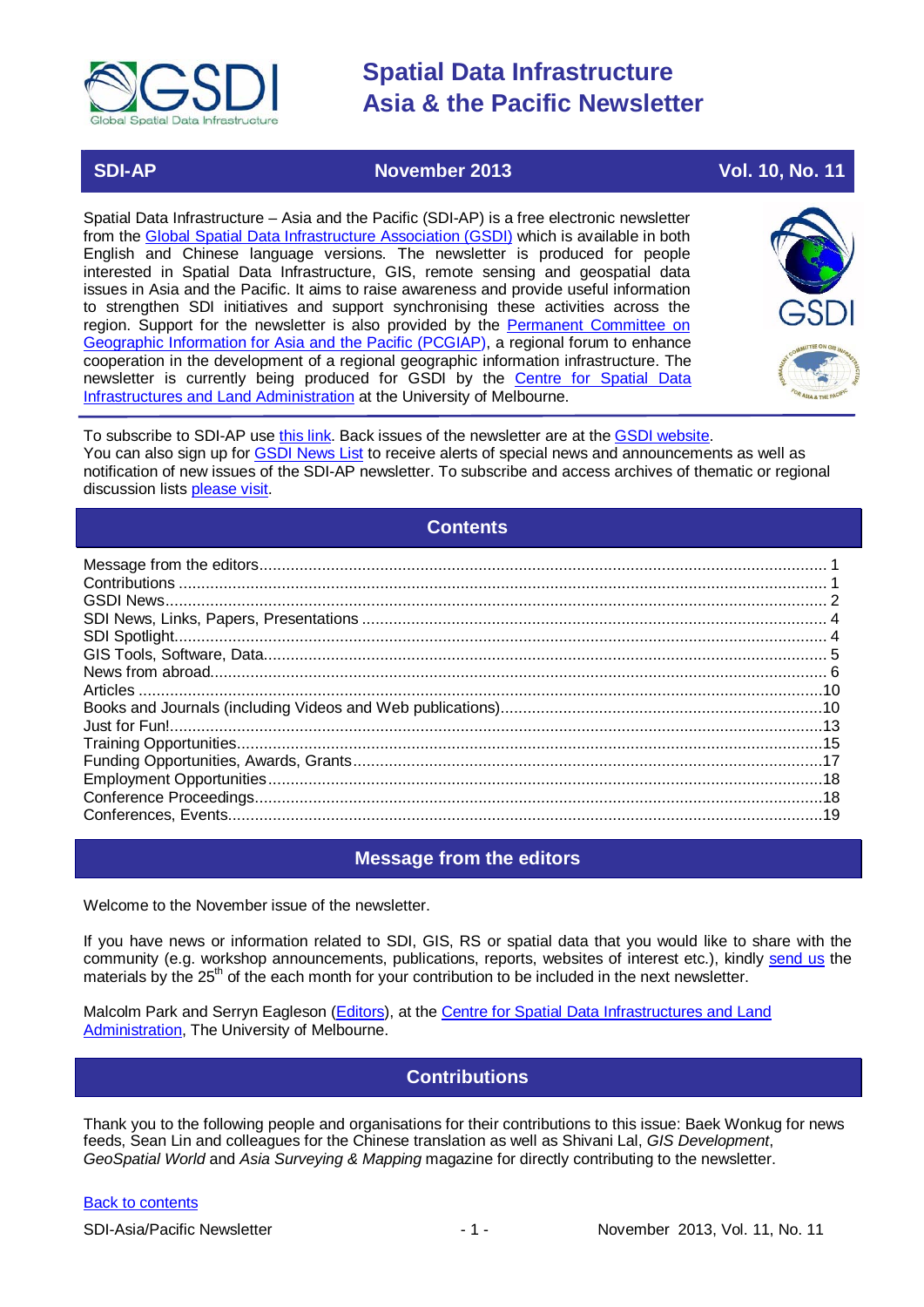

### **SDI-AP November 2013** Vol. 10, No. 11

Spatial Data Infrastructure – Asia and the Pacific (SDI-AP) is a free electronic newsletter from the [Global Spatial Data Infrastructure Association \(GSDI\)](http://www.gsdi.org/) which is available in both English and Chinese language versions. The newsletter is produced for people interested in Spatial Data Infrastructure, GIS, remote sensing and geospatial data issues in Asia and the Pacific. It aims to raise awareness and provide useful information to strengthen SDI initiatives and support synchronising these activities across the region. Support for the newsletter is also provided by the Permanent Committee on [Geographic Information for Asia](http://www.pcgiap.org/) and the Pacific (PCGIAP), a regional forum to enhance cooperation in the development of a regional geographic information infrastructure. The newsletter is currently being produced for GSDI by the Centre for [Spatial Data](http://www.csdila.unimelb.edu.au/)  [Infrastructures and Land Administration](http://www.csdila.unimelb.edu.au/) at the University of Melbourne.



To subscribe to SDI-AP use [this link.](http://www.gsdi.org/newslist/gsdisubscribe.asp) Back issues of the newsletter are at the [GSDI website.](http://www.gsdi.org/newsletters.asp) You can also sign up for [GSDI News List](http://www.gsdi.org/newslist/gsdisubscribe.asp) to receive alerts of special news and announcements as well as notification of new issues of the SDI-AP newsletter. To subscribe and access archives of thematic or regional discussion lists [please visit.](http://www.gsdi.org/discussionlists.asp)

### **Contents**

<span id="page-0-0"></span>

### **Message from the editors**

<span id="page-0-1"></span>Welcome to the November issue of the newsletter.

If you have news or information related to SDI, GIS, RS or spatial data that you would like to share with the community (e.g. workshop announcements, publications, reports, websites of interest etc.), kindly [send us](mailto:.SDI-AP@gsdi.org) the materials by the 25<sup>th</sup> of the each month for your contribution to be included in the next newsletter.

<span id="page-0-2"></span>Malcolm Park and Serryn Eagleson [\(Editors\)](mailto:Editor.SDIAP@gmail.com), at the [Centre for Spatial Data Infrastructures and Land](http://www.csdila.unimelb.edu.au/)  [Administration,](http://www.csdila.unimelb.edu.au/) The University of Melbourne.

### **Contributions**

Thank you to the following people and organisations for their contributions to this issue: Baek Wonkug for news feeds, Sean Lin and colleagues for the Chinese translation as well as Shivani Lal, *GIS Development*, *GeoSpatial World* and *Asia Surveying & Mapping* magazine for directly contributing to the newsletter.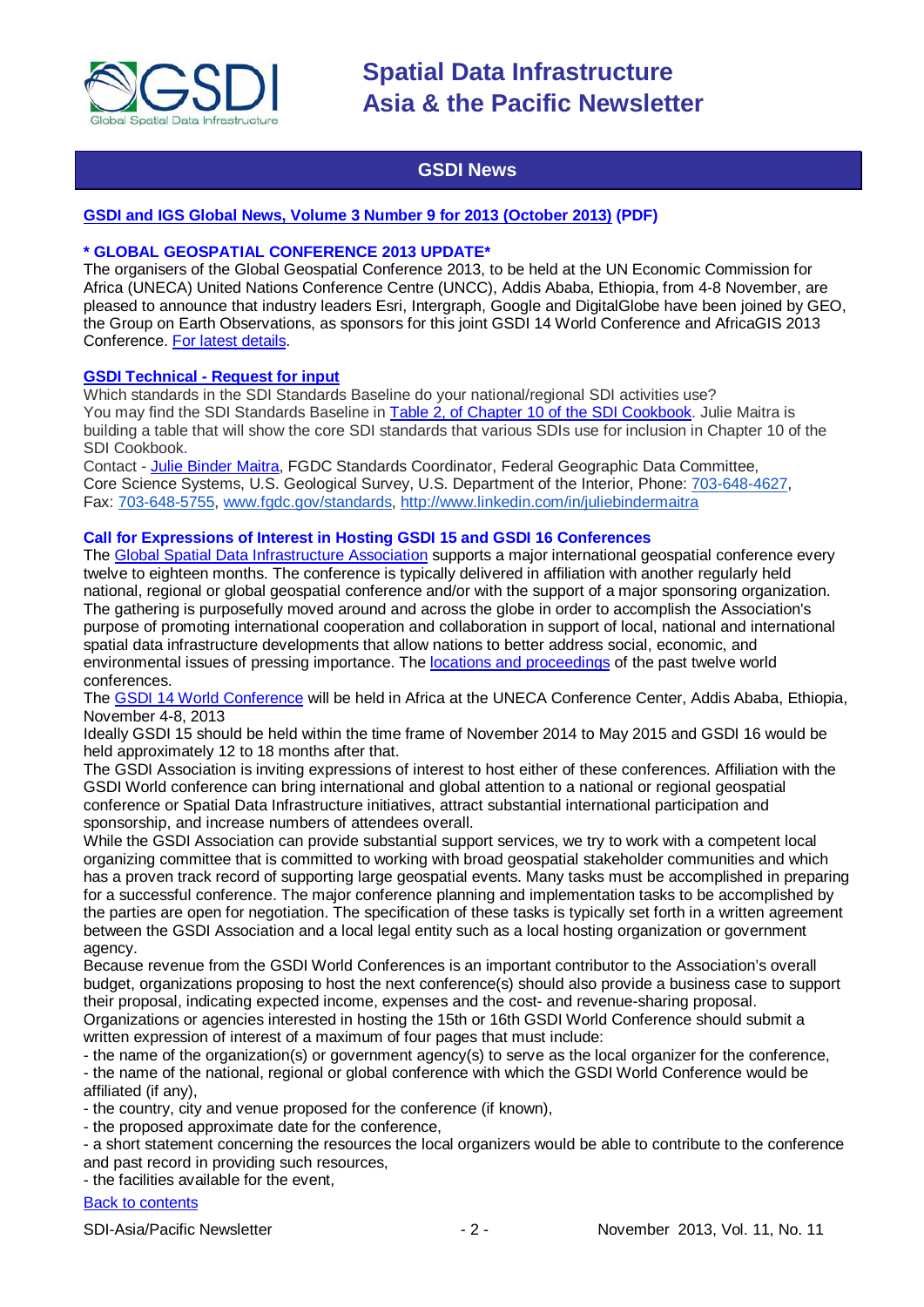

### **GSDI News**

#### <span id="page-1-0"></span>**[GSDI and IGS Global News, Volume 3 Number 9 for 2013 \(October 2013\)](http://www.gsdi.org/newsletters#GSDI) (PDF)**

#### **\* GLOBAL GEOSPATIAL CONFERENCE 2013 UPDATE\***

The organisers of the Global Geospatial Conference 2013, to be held at the UN Economic Commission for Africa (UNECA) United Nations Conference Centre (UNCC), Addis Ababa, Ethiopia, from 4-8 November, are pleased to announce that industry leaders Esri, Intergraph, Google and DigitalGlobe have been joined by GEO, the Group on Earth Observations, as sponsors for this joint GSDI 14 World Conference and AfricaGIS 2013 Conference. [For latest details.](http://gsdi.org/gsdi14)

#### **GSDI Technical - Request for input**

Which standards in the SDI Standards Baseline do your national/regional SDI activities use? You may find the SDI Standards Baseline in Table 2, [of Chapter 10 of the SDI Cookbook.](http://www.gsdidocs.org/GSDIWiki/index.php/Chapter_10#Table_2:_SDI_standards_baseline) Julie Maitra is building a table that will show the core SDI standards that various SDIs use for inclusion in Chapter 10 of the SDI Cookbook.

Contact - [Julie Binder Maitra,](mailto:%20jmaitra@usgs.gov) FGDC Standards Coordinator, Federal Geographic Data Committee, Core Science Systems, U.S. Geological Survey, U.S. Department of the Interior, Phone: [703-648-4627,](tel:703-648-4627) Fax: [703-648-5755,](tel:703-648-5755) [www.fgdc.gov/standards,](http://www.fgdc.gov/standards)<http://www.linkedin.com/in/juliebindermaitra>

#### **Call for Expressions of Interest in Hosting GSDI 15 and GSDI 16 Conferences**

The [Global Spatial Data Infrastructure Association](http://gsdi.org/) supports a major international geospatial conference every twelve to eighteen months. The conference is typically delivered in affiliation with another regularly held national, regional or global geospatial conference and/or with the support of a major sponsoring organization. The gathering is purposefully moved around and across the globe in order to accomplish the Association's purpose of promoting international cooperation and collaboration in support of local, national and international spatial data infrastructure developments that allow nations to better address social, economic, and environmental issues of pressing importance. The [locations and proceedings](http://www.gsdi.org/gsdiConferences) of the past twelve world conferences.

The [GSDI 14 World Conference](http://www.gsdi.org/gsdiconf/gsdi14/) will be held in Africa at the UNECA Conference Center, Addis Ababa, Ethiopia, November 4-8, 2013

Ideally GSDI 15 should be held within the time frame of November 2014 to May 2015 and GSDI 16 would be held approximately 12 to 18 months after that.

The GSDI Association is inviting expressions of interest to host either of these conferences. Affiliation with the GSDI World conference can bring international and global attention to a national or regional geospatial conference or Spatial Data Infrastructure initiatives, attract substantial international participation and sponsorship, and increase numbers of attendees overall.

While the GSDI Association can provide substantial support services, we try to work with a competent local organizing committee that is committed to working with broad geospatial stakeholder communities and which has a proven track record of supporting large geospatial events. Many tasks must be accomplished in preparing for a successful conference. The major conference planning and implementation tasks to be accomplished by the parties are open for negotiation. The specification of these tasks is typically set forth in a written agreement between the GSDI Association and a local legal entity such as a local hosting organization or government agency.

Because revenue from the GSDI World Conferences is an important contributor to the Association's overall budget, organizations proposing to host the next conference(s) should also provide a business case to support their proposal, indicating expected income, expenses and the cost- and revenue-sharing proposal. Organizations or agencies interested in hosting the 15th or 16th GSDI World Conference should submit a

written expression of interest of a maximum of four pages that must include:

- the name of the organization(s) or government agency(s) to serve as the local organizer for the conference,

- the name of the national, regional or global conference with which the GSDI World Conference would be affiliated (if any),

- the country, city and venue proposed for the conference (if known),

- the proposed approximate date for the conference,

- a short statement concerning the resources the local organizers would be able to contribute to the conference and past record in providing such resources,

- the facilities available for the event,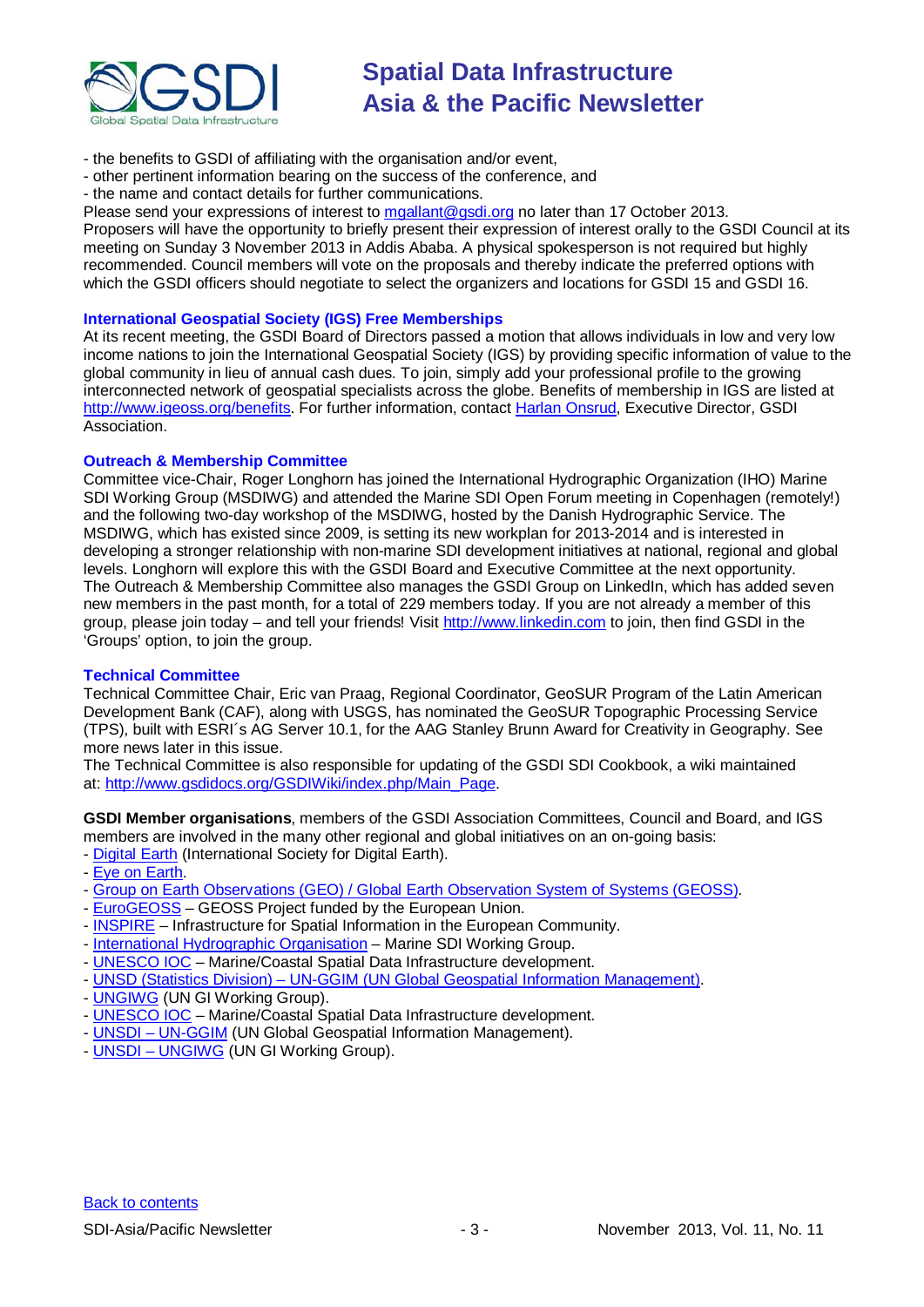

- the benefits to GSDI of affiliating with the organisation and/or event,
- other pertinent information bearing on the success of the conference, and
- the name and contact details for further communications.

Please send your expressions of interest to [mgallant@gsdi.org](mailto:mgallant@gsdi.org) no later than 17 October 2013.

Proposers will have the opportunity to briefly present their expression of interest orally to the GSDI Council at its meeting on Sunday 3 November 2013 in Addis Ababa. A physical spokesperson is not required but highly recommended. Council members will vote on the proposals and thereby indicate the preferred options with which the GSDI officers should negotiate to select the organizers and locations for GSDI 15 and GSDI 16.

### **International Geospatial Society (IGS) Free Memberships**

At its recent meeting, the GSDI Board of Directors passed a motion that allows individuals in low and very low income nations to join the International Geospatial Society (IGS) by providing specific information of value to the global community in lieu of annual cash dues. To join, simply add your professional profile to the growing interconnected network of geospatial specialists across the globe. Benefits of membership in IGS are listed at [http://www.igeoss.org/benefits.](https://owa.unimelb.edu.au/owa/redir.aspx?C=54c2b4d3973d480282dc7c38384f4204&URL=http%3a%2f%2fwww.igeoss.org%2fbenefits) For further information, contact [Harlan Onsrud,](mailto:onsrud@gsdi.org) Executive Director, GSDI Association.

#### **Outreach & Membership Committee**

Committee vice-Chair, Roger Longhorn has joined the International Hydrographic Organization (IHO) Marine SDI Working Group (MSDIWG) and attended the Marine SDI Open Forum meeting in Copenhagen (remotely!) and the following two-day workshop of the MSDIWG, hosted by the Danish Hydrographic Service. The MSDIWG, which has existed since 2009, is setting its new workplan for 2013-2014 and is interested in developing a stronger relationship with non-marine SDI development initiatives at national, regional and global levels. Longhorn will explore this with the GSDI Board and Executive Committee at the next opportunity. The Outreach & Membership Committee also manages the GSDI Group on LinkedIn, which has added seven new members in the past month, for a total of 229 members today. If you are not already a member of this group, please join today – and tell your friends! Visit [http://www.linkedin.com](https://owa.unimelb.edu.au/owa/redir.aspx?C=rDg2dzQe3UKfwin28aspI4dcf2EJ4c8IKc_jDEPg91nlCdVQBzUX28or6ioXGu07OXWheK19Jyk.&URL=http%3a%2f%2fwww.linkedin.com) to join, then find GSDI in the 'Groups' option, to join the group.

#### **Technical Committee**

Technical Committee Chair, Eric van Praag, Regional Coordinator, GeoSUR Program of the Latin American Development Bank (CAF), along with USGS, has nominated the GeoSUR Topographic Processing Service (TPS), built with ESRI´s AG Server 10.1, for the AAG Stanley Brunn Award for Creativity in Geography. See more news later in this issue.

The Technical Committee is also responsible for updating of the GSDI SDI Cookbook, a wiki maintained at: [http://www.gsdidocs.org/GSDIWiki/index.php/Main\\_Page.](https://owa.unimelb.edu.au/owa/redir.aspx?C=rDg2dzQe3UKfwin28aspI4dcf2EJ4c8IKc_jDEPg91nlCdVQBzUX28or6ioXGu07OXWheK19Jyk.&URL=http%3a%2f%2fwww.gsdidocs.org%2fGSDIWiki%2findex.php%2fMain_Page)

**GSDI Member organisations**, members of the GSDI Association Committees, Council and Board, and IGS members are involved in the many other regional and global initiatives on an on-going basis:

- [Digital Earth](http://www.digitalearth-isde.org/) (International Society for Digital Earth).
- [Eye on Earth.](http://www.eyeonearth.org/)
- [Group on Earth Observations \(GEO\) / Global Earth Observation System of Systems \(GEOSS\).](http://www.earthobservations.org/)
- [EuroGEOSS](http://www.eurogeoss.eu/default.aspx) GEOSS Project funded by the European Union.
- [INSPIRE](http://www.inspire.jrc.ec.europa.eu/) Infrastructure for Spatial Information in the European Community.
- [International Hydrographic Organisation](http://www.iho.int/) Marine SDI Working Group.
- [UNESCO IOC](http://www.iode.org/) Marine/Coastal Spatial Data Infrastructure development.
- UNSD (Statistics Division) [UN-GGIM \(UN Global Geospatial Information Management\).](http://www.ggim.un.org/)
- [UNGIWG](http://www.ungiwg.org/) (UN GI Working Group).
- [UNESCO IOC](http://www.iode.org/) Marine/Coastal Spatial Data Infrastructure development.
- UNSDI [UN-GGIM](http://www.ggim.un.org/) (UN Global Geospatial Information Management).
- UNSDI [UNGIWG](http://www.ungiwg.org/) (UN GI Working Group).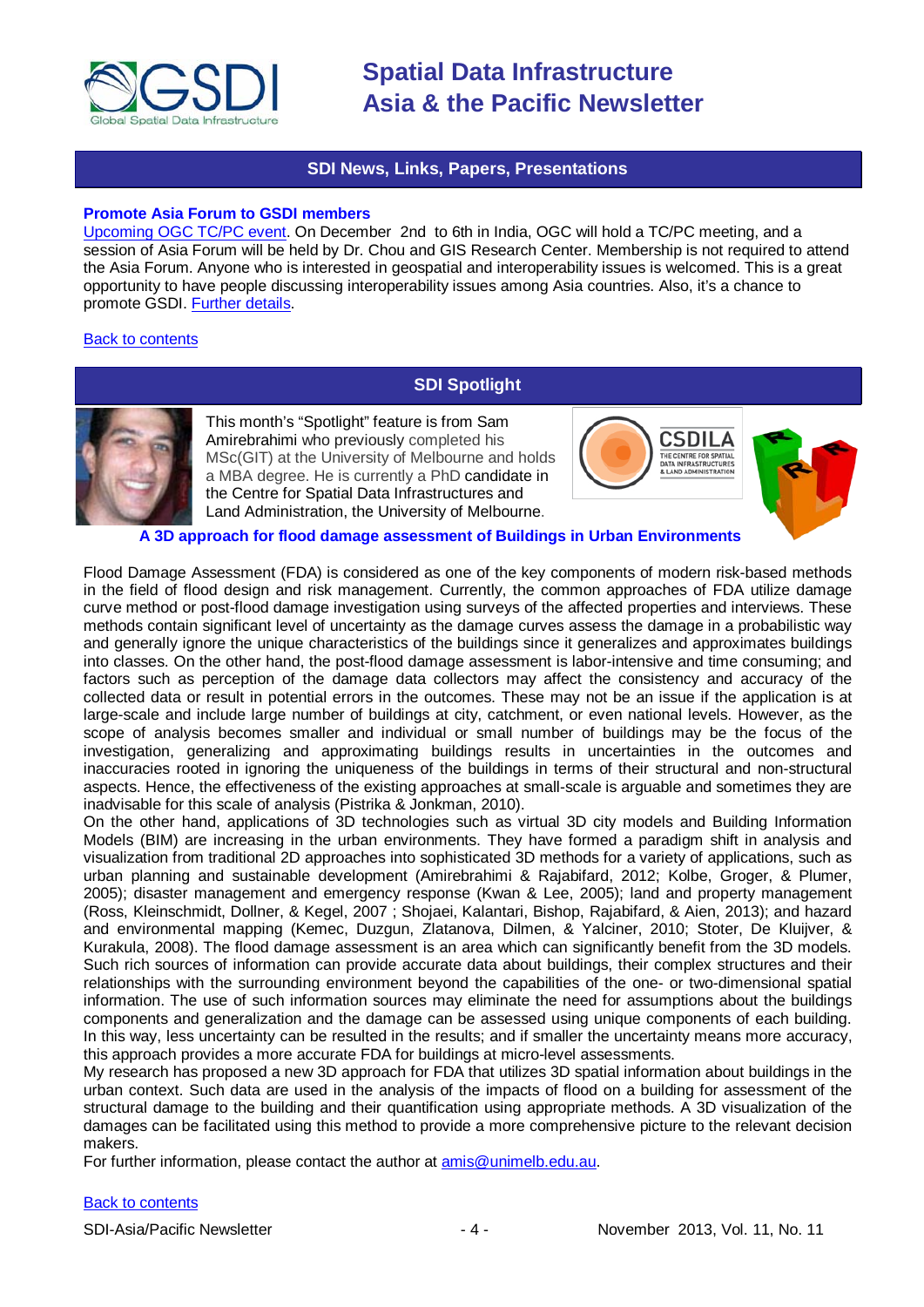

### **SDI News, Links, Papers, Presentations**

#### <span id="page-3-0"></span>**Promote Asia Forum to GSDI members**

[Upcoming OGC TC/PC event.](http://www.ogc.org.tw/) On December 2nd to 6th in India, OGC will hold a TC/PC meeting, and a session of Asia Forum will be held by Dr. Chou and GIS Research Center. Membership is not required to attend the Asia Forum. Anyone who is interested in geospatial and interoperability issues is welcomed. This is a great opportunity to have people discussing interoperability issues among Asia countries. Also, it's a chance to promote GSDI. [Further details.](http://www.ogc.org.tw/en/News/Detail20131203)

#### [Back to contents](#page-0-0)

## **SDI Spotlight**

<span id="page-3-1"></span>

This month's "Spotlight" feature is from Sam Amirebrahimi who previously completed his MSc(GIT) at the University of Melbourne and holds a MBA degree. He is currently a PhD candidate in the Centre for Spatial Data Infrastructures and Land Administration, the University of Melbourne.





**A 3D approach for flood damage assessment of Buildings in Urban Environments**

Flood Damage Assessment (FDA) is considered as one of the key components of modern risk-based methods in the field of flood design and risk management. Currently, the common approaches of FDA utilize damage curve method or post-flood damage investigation using surveys of the affected properties and interviews. These methods contain significant level of uncertainty as the damage curves assess the damage in a probabilistic way and generally ignore the unique characteristics of the buildings since it generalizes and approximates buildings into classes. On the other hand, the post-flood damage assessment is labor-intensive and time consuming; and factors such as perception of the damage data collectors may affect the consistency and accuracy of the collected data or result in potential errors in the outcomes. These may not be an issue if the application is at large-scale and include large number of buildings at city, catchment, or even national levels. However, as the scope of analysis becomes smaller and individual or small number of buildings may be the focus of the investigation, generalizing and approximating buildings results in uncertainties in the outcomes and inaccuracies rooted in ignoring the uniqueness of the buildings in terms of their structural and non-structural aspects. Hence, the effectiveness of the existing approaches at small-scale is arguable and sometimes they are inadvisable for this scale of analysis (Pistrika & Jonkman, 2010).

On the other hand, applications of 3D technologies such as virtual 3D city models and Building Information Models (BIM) are increasing in the urban environments. They have formed a paradigm shift in analysis and visualization from traditional 2D approaches into sophisticated 3D methods for a variety of applications, such as urban planning and sustainable development (Amirebrahimi & Rajabifard, 2012; Kolbe, Groger, & Plumer, 2005); disaster management and emergency response (Kwan & Lee, 2005); land and property management (Ross, Kleinschmidt, Dollner, & Kegel, 2007 ; Shojaei, Kalantari, Bishop, Rajabifard, & Aien, 2013); and hazard and environmental mapping (Kemec, Duzgun, Zlatanova, Dilmen, & Yalciner, 2010; Stoter, De Kluijver, & Kurakula, 2008). The flood damage assessment is an area which can significantly benefit from the 3D models. Such rich sources of information can provide accurate data about buildings, their complex structures and their relationships with the surrounding environment beyond the capabilities of the one- or two-dimensional spatial information. The use of such information sources may eliminate the need for assumptions about the buildings components and generalization and the damage can be assessed using unique components of each building. In this way, less uncertainty can be resulted in the results; and if smaller the uncertainty means more accuracy, this approach provides a more accurate FDA for buildings at micro-level assessments.

My research has proposed a new 3D approach for FDA that utilizes 3D spatial information about buildings in the urban context. Such data are used in the analysis of the impacts of flood on a building for assessment of the structural damage to the building and their quantification using appropriate methods. A 3D visualization of the damages can be facilitated using this method to provide a more comprehensive picture to the relevant decision makers.

For further information, please contact the author at [amis@unimelb.edu.au.](mailto:amis@unimelb.edu.au)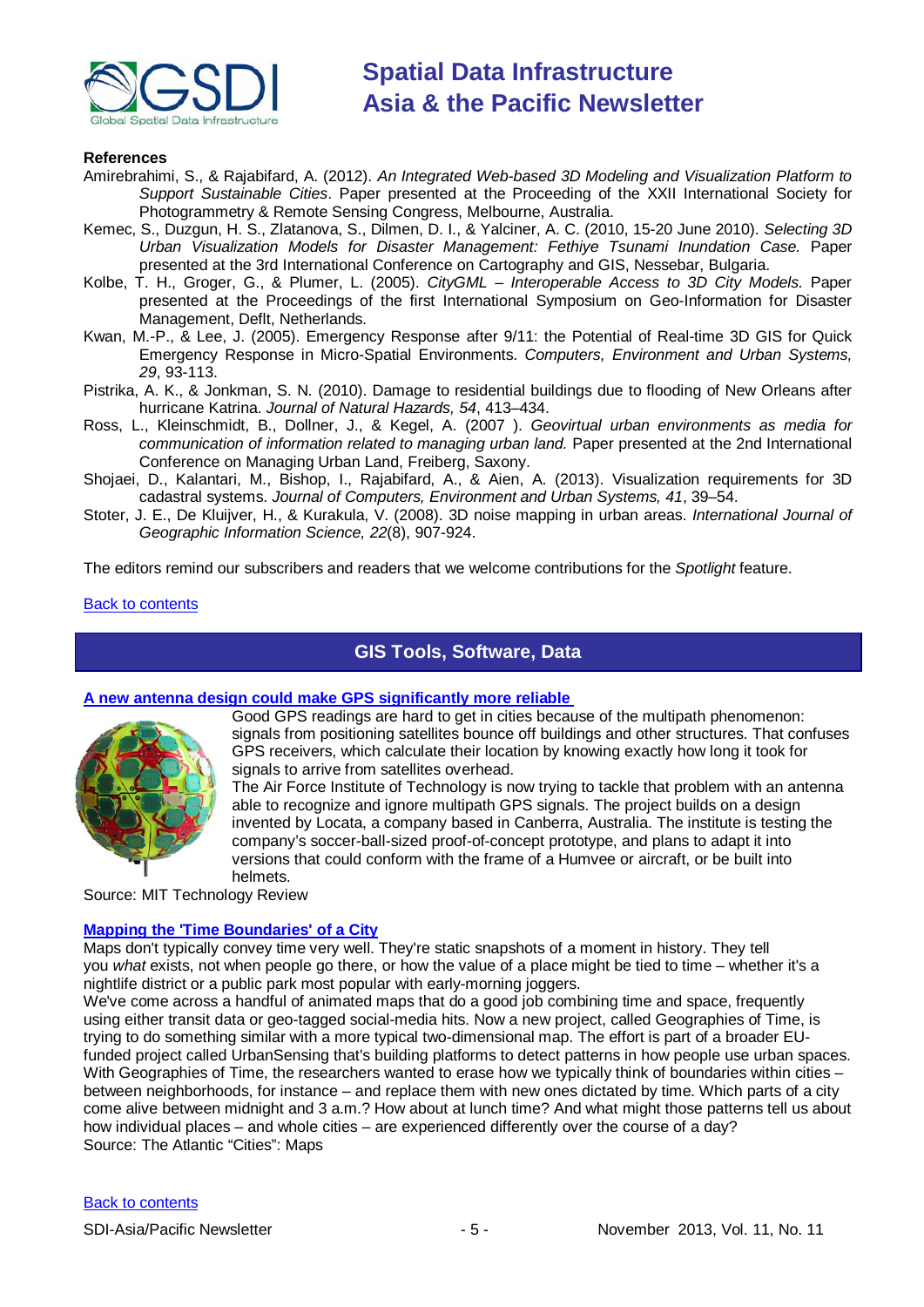

#### **References**

- Amirebrahimi, S., & Rajabifard, A. (2012). *An Integrated Web-based 3D Modeling and Visualization Platform to Support Sustainable Cities*. Paper presented at the Proceeding of the XXII International Society for Photogrammetry & Remote Sensing Congress, Melbourne, Australia.
- Kemec, S., Duzgun, H. S., Zlatanova, S., Dilmen, D. I., & Yalciner, A. C. (2010, 15-20 June 2010). *Selecting 3D Urban Visualization Models for Disaster Management: Fethiye Tsunami Inundation Case.* Paper presented at the 3rd International Conference on Cartography and GIS, Nessebar, Bulgaria.
- Kolbe, T. H., Groger, G., & Plumer, L. (2005). *CityGML – Interoperable Access to 3D City Models.* Paper presented at the Proceedings of the first International Symposium on Geo-Information for Disaster Management, Deflt, Netherlands.
- Kwan, M.-P., & Lee, J. (2005). Emergency Response after 9/11: the Potential of Real-time 3D GIS for Quick Emergency Response in Micro-Spatial Environments. *Computers, Environment and Urban Systems, 29*, 93-113.
- Pistrika, A. K., & Jonkman, S. N. (2010). Damage to residential buildings due to flooding of New Orleans after hurricane Katrina. *Journal of Natural Hazards, 54*, 413–434.
- Ross, L., Kleinschmidt, B., Dollner, J., & Kegel, A. (2007 ). *Geovirtual urban environments as media for communication of information related to managing urban land.* Paper presented at the 2nd International Conference on Managing Urban Land, Freiberg, Saxony.
- Shojaei, D., Kalantari, M., Bishop, I., Rajabifard, A., & Aien, A. (2013). Visualization requirements for 3D cadastral systems. *Journal of Computers, Environment and Urban Systems, 41*, 39–54.
- Stoter, J. E., De Kluijver, H., & Kurakula, V. (2008). 3D noise mapping in urban areas. *International Journal of Geographic Information Science, 22*(8), 907-924.

The editors remind our subscribers and readers that we welcome contributions for the *Spotlight* feature.

#### <span id="page-4-0"></span>[Back to contents](#page-0-0)

### **GIS Tools, Software, Data**

#### **[A new antenna design could make GPS significantly more reliable](http://www.technologyreview.com/news/519811/a-cure-for-urban-gps-a-3-d-antenna/?utm_campaign=newsletters&utm_source=newsletter-daily-all&utm_medium=email&utm_content=20131009)**



Good GPS readings are hard to get in cities because of the multipath phenomenon: signals from positioning satellites bounce off buildings and other structures. That confuses GPS receivers, which calculate their location by knowing exactly how long it took for signals to arrive from satellites overhead.

The Air Force Institute of Technology is now trying to tackle that problem with an antenna able to recognize and ignore multipath GPS signals. The project builds on a design invented by Locata, a company based in Canberra, Australia. The institute is testing the company's soccer-ball-sized proof-of-concept prototype, and plans to adapt it into versions that could conform with the frame of a Humvee or aircraft, or be built into helmets.

Source: MIT Technology Review

#### **[Mapping the 'Time Boundaries' of a City](http://www.theatlanticcities.com/technology/2013/10/mapping-time-boundaries-city/7221/)**

Maps don't typically convey time very well. They're static snapshots of a moment in history. They tell you *what* exists, not when people go there, or how the value of a place might be tied to time – whether it's a nightlife district or a public park most popular with early-morning joggers.

We've come across a handful of animated maps that do a good job combining time and space, frequently using either transit data or geo-tagged social-media hits. Now a new project, called Geographies of Time, is trying to do something similar with a more typical two-dimensional map. The effort is part of a broader EUfunded project called UrbanSensing that's building platforms to detect patterns in how people use urban spaces. With Geographies of Time, the researchers wanted to erase how we typically think of boundaries within cities – between neighborhoods, for instance – and replace them with new ones dictated by time. Which parts of a city come alive between midnight and 3 a.m.? How about at lunch time? And what might those patterns tell us about how individual places – and whole cities – are experienced differently over the course of a day? Source: The Atlantic "Cities": Maps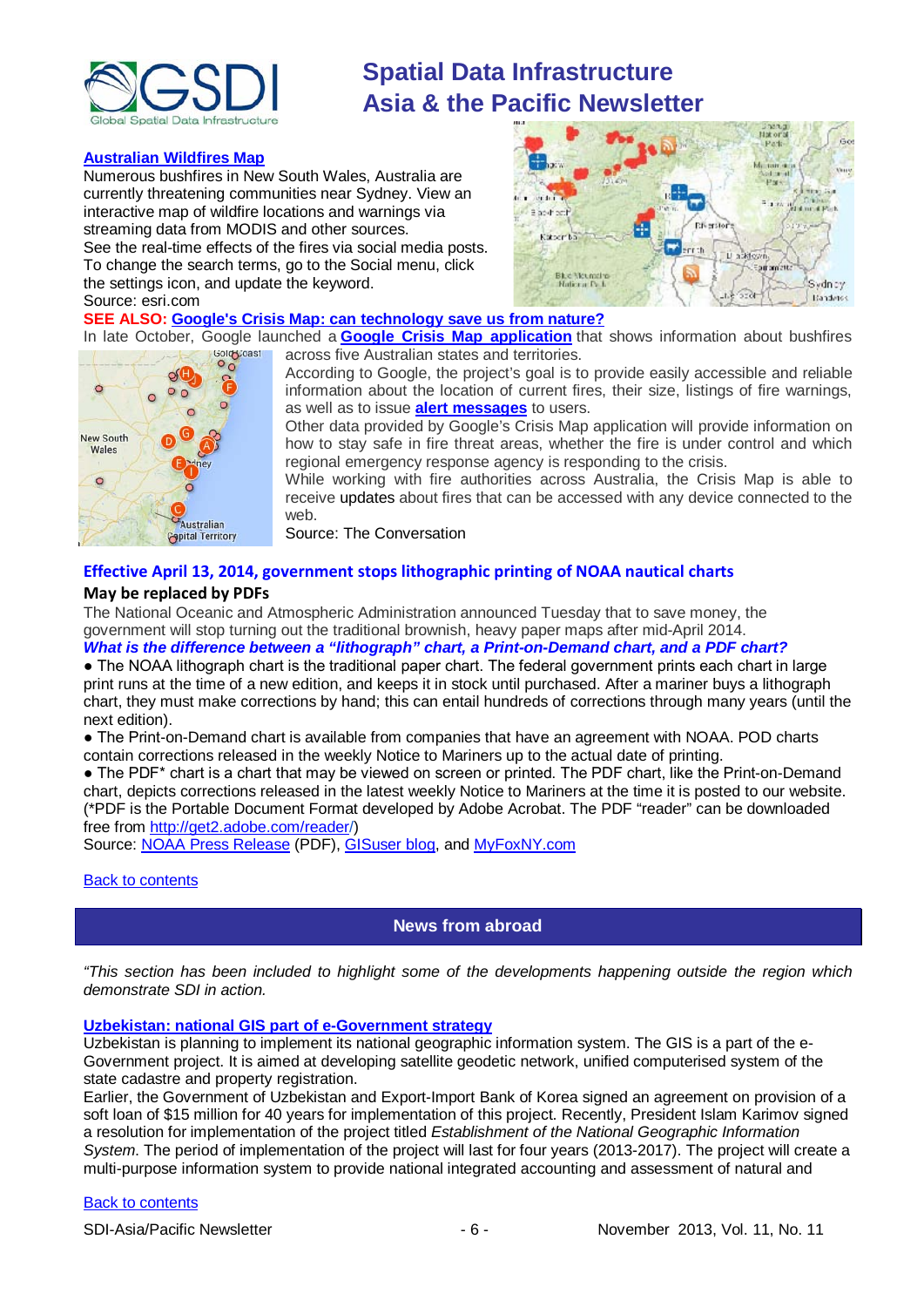

#### **[Australian Wildfires Map](http://www.esri.com/services/disaster-response/wildlandfire/australian-wildfires-map)**

Numerous bushfires in New South Wales, Australia are currently threatening communities near Sydney. View an interactive map of wildfire locations and warnings via streaming data from MODIS and other sources. See the real-time effects of the fires via social media posts. To change the search terms, go to the Social menu, click the settings icon, and update the keyword. Source: esri.com



#### **SEE ALSO: [Google's Crisis Map: can technology save us from nature?](http://theconversation.com/googles-crisis-map-can-technology-save-us-from-nature-19537?utm_medium=email&utm_campaign=Latest+from+The+Conversation+for+28+October+2013&utm_content=Latest+from+The+Conversation+for+28+October+2013+CID_5b32b76f67224636bd6b58761)**

In late October, Google launched a **[Google Crisis Map application](http://google.org/crisismap/2013-nsw-bushfires)** that shows information about bushfires across five Australian states and territories.



According to Google, the project's goal is to provide easily accessible and reliable information about the location of current fires, their size, listings of fire warnings, as well as to issue **[alert messages](http://google.org/publicalerts)** to users.

Other data provided by Google's Crisis Map application will provide information on how to stay safe in fire threat areas, whether the fire is under control and which regional emergency response agency is responding to the crisis.

While working with fire authorities across Australia, the Crisis Map is able to receive updates about fires that can be accessed with any device connected to the web.

Source: The Conversation

#### **Effective April 13, 2014, government stops lithographic printing of NOAA nautical charts May be replaced by PDFs**

The National Oceanic and Atmospheric Administration announced Tuesday that to save money, the government will stop turning out the traditional brownish, heavy paper maps after mid-April 2014.

*What is the difference between a "lithograph" chart, a Print-on-Demand chart, and a PDF chart?* 

• The NOAA lithograph chart is the traditional paper chart. The federal government prints each chart in large print runs at the time of a new edition, and keeps it in stock until purchased. After a mariner buys a lithograph chart, they must make corrections by hand; this can entail hundreds of corrections through many years (until the next edition).

• The Print-on-Demand chart is available from companies that have an agreement with NOAA. POD charts contain corrections released in the weekly Notice to Mariners up to the actual date of printing.

● The PDF\* chart is a chart that may be viewed on screen or printed. The PDF chart, like the Print-on-Demand chart, depicts corrections released in the latest weekly Notice to Mariners at the time it is posted to our website. (\*PDF is the Portable Document Format developed by Adobe Acrobat. The PDF "reader" can be downloaded free from [http://get2.adobe.com/reader/](http://get2.adobe.com/reader))

Source: [NOAA Press Release](http://www.nauticalcharts.noaa.gov/staff/docs/FAQ%20lithographic%20chart%20announcement.pdf) (PDF), [GISuser blog,](http://blog.gisuser.com/2013/10/24/noaa-printed-maps-be-going-the-way-of-pdf/) and [MyFoxNY.com](http://www.myfoxny.com/story/23758129/ahoy-mateys-us-to-stop-printing-nautical-charts#ixzz2iagqFoW1)

#### <span id="page-5-0"></span>[Back to contents](#page-0-0)

### **News from abroad**

*"This section has been included to highlight some of the developments happening outside the region which demonstrate SDI in action.*

#### **[Uzbekistan: national GIS part of e-Government strategy](http://www.uzdaily.com/articles-id-24923.htm)**

Uzbekistan is planning to implement its national geographic information system. The GIS is a part of the e-Government project. It is aimed at developing satellite geodetic network, unified computerised system of the state cadastre and property registration.

Earlier, the Government of Uzbekistan and Export-Import Bank of Korea signed an agreement on provision of a soft loan of \$15 million for 40 years for implementation of this project. Recently, President Islam Karimov signed a resolution for implementation of the project titled *Establishment of the National Geographic Information System*. The period of implementation of the project will last for four years (2013-2017). The project will create a multi-purpose information system to provide national integrated accounting and assessment of natural and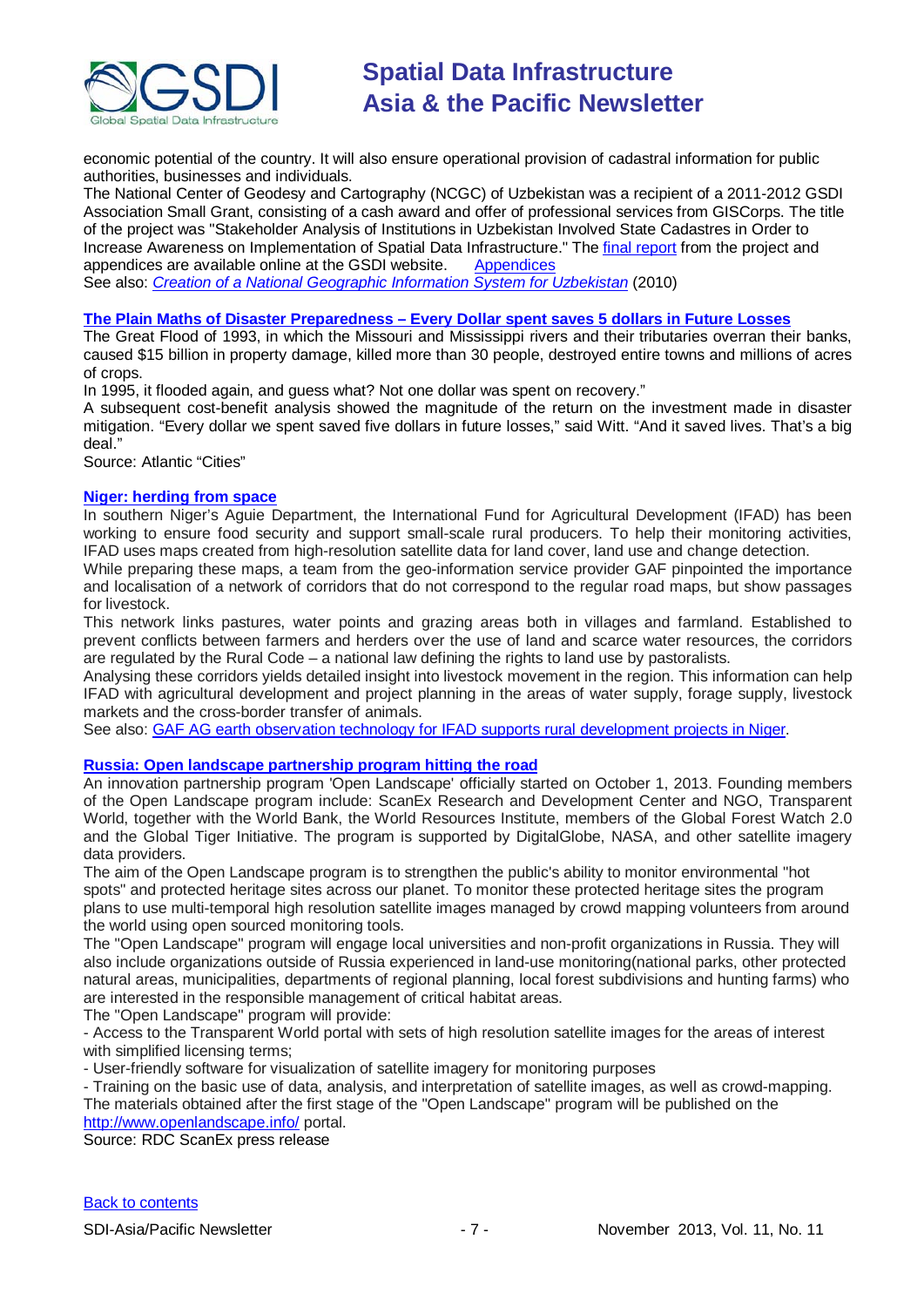

economic potential of the country. It will also ensure operational provision of cadastral information for public authorities, businesses and individuals.

The National Center of Geodesy and Cartography (NCGC) of Uzbekistan was a recipient of a 2011-2012 GSDI Association Small Grant, consisting of a cash award and offer of professional services from GISCorps. The title of the project was "Stakeholder Analysis of Institutions in Uzbekistan Involved State Cadastres in Order to Increase Awareness on Implementation of Spatial Data Infrastructure." Th[e final report](http://memberservices.gsdi.org/files/?artifact_id=1210) from the project and appendices are available online at the GSDI website. Appendices appendices are available online at the GSDI website.

See also: *[Creation of a National Geographic Information System for Uzbekistan](http://inspire.jrc.ec.europa.eu/events/conferences/inspire_2010/presentations/249_pdf_presentation.pdf)* (2010)

#### **The Plain Maths of Disaster Preparedness – [Every Dollar spent saves 5 dollars in Future Losses](http://www.theatlanticcities.com/politics/2013/10/plain-math-disaster-preparedness-every-dollar-we-spent-saved-five-dollars-future-losses/7160/)**

The Great Flood of 1993, in which the Missouri and Mississippi rivers and their tributaries overran their banks, caused \$15 billion in property damage, killed more than 30 people, destroyed entire towns and millions of acres of crops.

In 1995, it flooded again, and guess what? Not one dollar was spent on recovery."

A subsequent cost-benefit analysis showed the magnitude of the return on the investment made in disaster mitigation. "Every dollar we spent saved five dollars in future losses," said Witt. "And it saved lives. That's a big deal."

Source: Atlantic "Cities"

#### **[Niger: herding from space](http://www.esa.int/Our_Activities/Observing_the_Earth/Herding_from_space)**

In southern Niger's Aguie Department, the International Fund for Agricultural Development (IFAD) has been working to ensure food security and support small-scale rural producers. To help their monitoring activities, IFAD uses maps created from high-resolution satellite data for land cover, land use and change detection.

While preparing these maps, a team from the geo-information service provider GAF pinpointed the importance and localisation of a network of corridors that do not correspond to the regular road maps, but show passages for livestock.

This network links pastures, water points and grazing areas both in villages and farmland. Established to prevent conflicts between farmers and herders over the use of land and scarce water resources, the corridors are regulated by the Rural Code – a national law defining the rights to land use by pastoralists.

Analysing these corridors yields detailed insight into livestock movement in the region. This information can help IFAD with agricultural development and project planning in the areas of water supply, forage supply, livestock markets and the cross-border transfer of animals.

See also: [GAF AG earth observation technology for IFAD supports rural development projects in Niger.](http://www.gaf.de/content/gaf-ag-earth-observation-technology-ifad-supports-rural-development-projects-niger)

#### **[Russia: Open landscape partnership program hitting the road](http://press.scanex.ru/index.php/en/component/k2/item/4171-open)**

An innovation partnership program 'Open Landscape' officially started on October 1, 2013. Founding members of the Open Landscape program include: ScanEx Research and Development Center and NGO, Transparent World, together with the World Bank, the World Resources Institute, members of the Global Forest Watch 2.0 and the Global Tiger Initiative. The program is supported by DigitalGlobe, NASA, and other satellite imagery data providers.

The aim of the Open Landscape program is to strengthen the public's ability to monitor environmental "hot spots" and protected heritage sites across our planet. To monitor these protected heritage sites the program plans to use multi-temporal high resolution satellite images managed by crowd mapping volunteers from around the world using open sourced monitoring tools.

The "Open Landscape" program will engage local universities and non-profit organizations in Russia. They will also include organizations outside of Russia experienced in land-use monitoring(national parks, other protected natural areas, municipalities, departments of regional planning, local forest subdivisions and hunting farms) who are interested in the responsible management of critical habitat areas.

The "Open Landscape" program will provide:

- Access to the Transparent World portal with sets of high resolution satellite images for the areas of interest with simplified licensing terms:

- User-friendly software for visualization of satellite imagery for monitoring purposes

- Training on the basic use of data, analysis, and interpretation of satellite images, as well as crowd-mapping. The materials obtained after the first stage of the "Open Landscape" program will be published on the <http://www.openlandscape.info/> portal.

Source: RDC ScanEx press release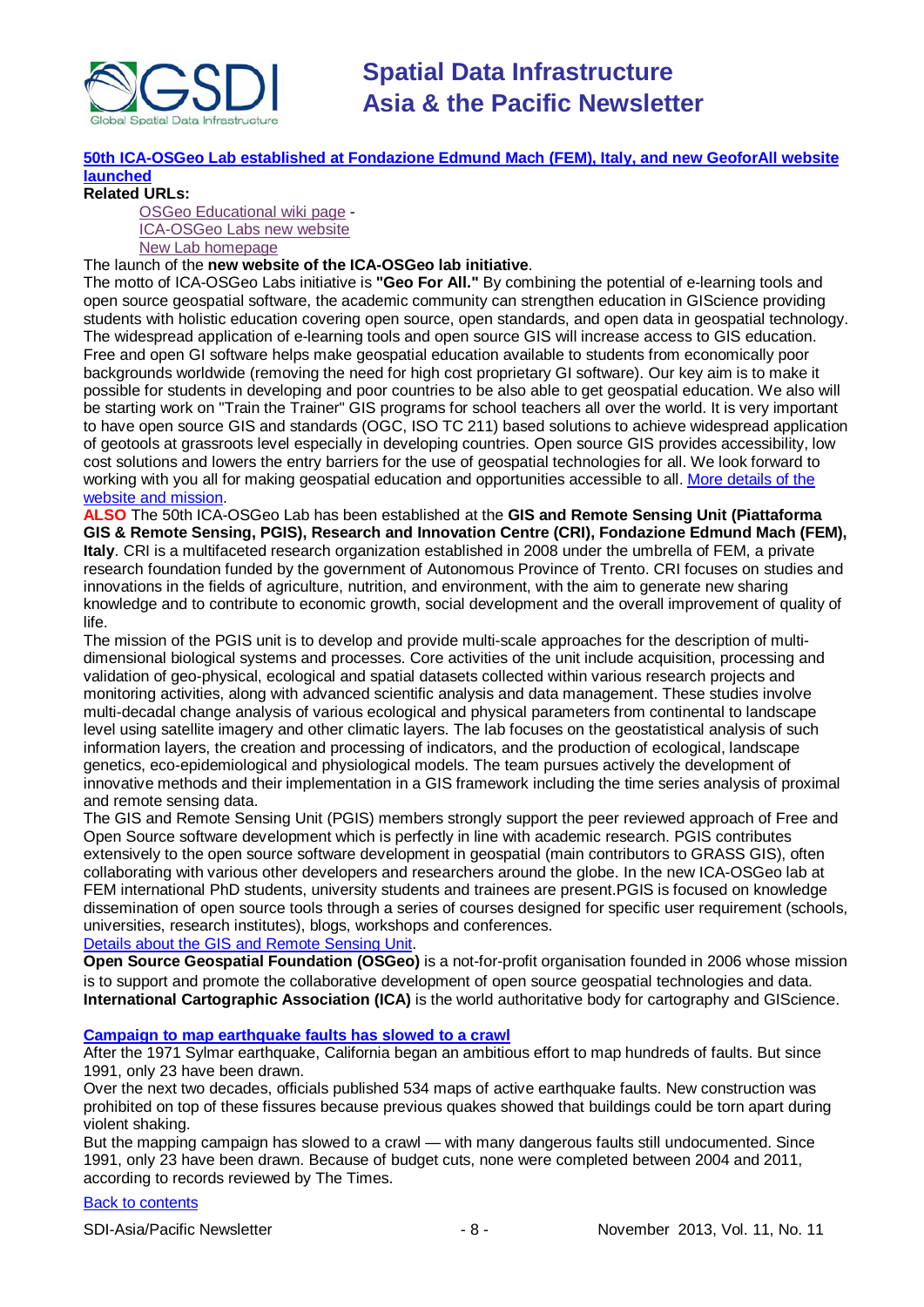

### **[50th ICA-OSGeo Lab established at Fondazione Edmund Mach \(FEM\), Italy, and new GeoforAll website](http://www.osgeo.org/node/1393)  [launched](http://www.osgeo.org/node/1393)**

#### **Related URLs:**

[OSGeo Educational wiki page](http://wiki.osgeo.org/wiki/Edu_current_initiatives#2.29_Continue_to_expand_the_ICA-OSGeo_Network) - [ICA-OSGeo Labs new website](http://www.geoforall.org/) [New Lab homepage](http://gis.cri.fmach.it/)

#### The launch of the **new website of the ICA-OSGeo lab initiative**.

The motto of ICA-OSGeo Labs initiative is **"Geo For All."** By combining the potential of e-learning tools and open source geospatial software, the academic community can strengthen education in GIScience providing students with holistic education covering open source, open standards, and open data in geospatial technology. The widespread application of e-learning tools and open source GIS will increase access to GIS education. Free and open GI software helps make geospatial education available to students from economically poor backgrounds worldwide (removing the need for high cost proprietary GI software). Our key aim is to make it possible for students in developing and poor countries to be also able to get geospatial education. We also will be starting work on "Train the Trainer" GIS programs for school teachers all over the world. It is very important to have open source GIS and standards (OGC, ISO TC 211) based solutions to achieve widespread application of geotools at grassroots level especially in developing countries. Open source GIS provides accessibility, low cost solutions and lowers the entry barriers for the use of geospatial technologies for all. We look forward to working with you all for making geospatial education and opportunities accessible to all. [More details](http://www.geoforall.org/) of the [website and mission.](http://www.geoforall.org/)

**ALSO** The 50th ICA-OSGeo Lab has been established at the **GIS and Remote Sensing Unit (Piattaforma GIS & Remote Sensing, PGIS), Research and Innovation Centre (CRI), Fondazione Edmund Mach (FEM), Italy**. CRI is a multifaceted research organization established in 2008 under the umbrella of FEM, a private research foundation funded by the government of Autonomous Province of Trento. CRI focuses on studies and innovations in the fields of agriculture, nutrition, and environment, with the aim to generate new sharing knowledge and to contribute to economic growth, social development and the overall improvement of quality of life.

The mission of the PGIS unit is to develop and provide multi-scale approaches for the description of multidimensional biological systems and processes. Core activities of the unit include acquisition, processing and validation of geo-physical, ecological and spatial datasets collected within various research projects and monitoring activities, along with advanced scientific analysis and data management. These studies involve multi-decadal change analysis of various ecological and physical parameters from continental to landscape level using satellite imagery and other climatic layers. The lab focuses on the geostatistical analysis of such information layers, the creation and processing of indicators, and the production of ecological, landscape genetics, eco-epidemiological and physiological models. The team pursues actively the development of innovative methods and their implementation in a GIS framework including the time series analysis of proximal and remote sensing data.

The GIS and Remote Sensing Unit (PGIS) members strongly support the peer reviewed approach of Free and Open Source software development which is perfectly in line with academic research. PGIS contributes extensively to the open source software development in geospatial (main contributors to GRASS GIS), often collaborating with various other developers and researchers around the globe. In the new ICA-OSGeo lab at FEM international PhD students, university students and trainees are present.PGIS is focused on knowledge dissemination of open source tools through a series of courses designed for specific user requirement (schools, universities, research institutes), blogs, workshops and conferences. [Details about the GIS and Remote Sensing Unit.](http://gis.cri.fmach.it/)

**Open Source Geospatial Foundation (OSGeo)** is a not-for-profit organisation founded in 2006 whose mission is to support and promote the collaborative development of open source geospatial technologies and data. **International Cartographic Association (ICA)** is the world authoritative body for cartography and GIScience.

#### **[Campaign to map earthquake faults has slowed to](http://www.latimes.com/local/la-me-adv-earthquake-fault-law-20131020,0,1297014.story) a crawl**

After the 1971 Sylmar earthquake, California began an ambitious effort to map hundreds of faults. But since 1991, only 23 have been drawn.

Over the next two decades, officials published 534 maps of active earthquake faults. New construction was prohibited on top of these fissures because previous quakes showed that buildings could be torn apart during violent shaking.

But the mapping campaign has slowed to a crawl — with many dangerous faults still undocumented. Since 1991, only 23 have been drawn. Because of budget cuts, none were completed between 2004 and 2011, according to records reviewed by The Times.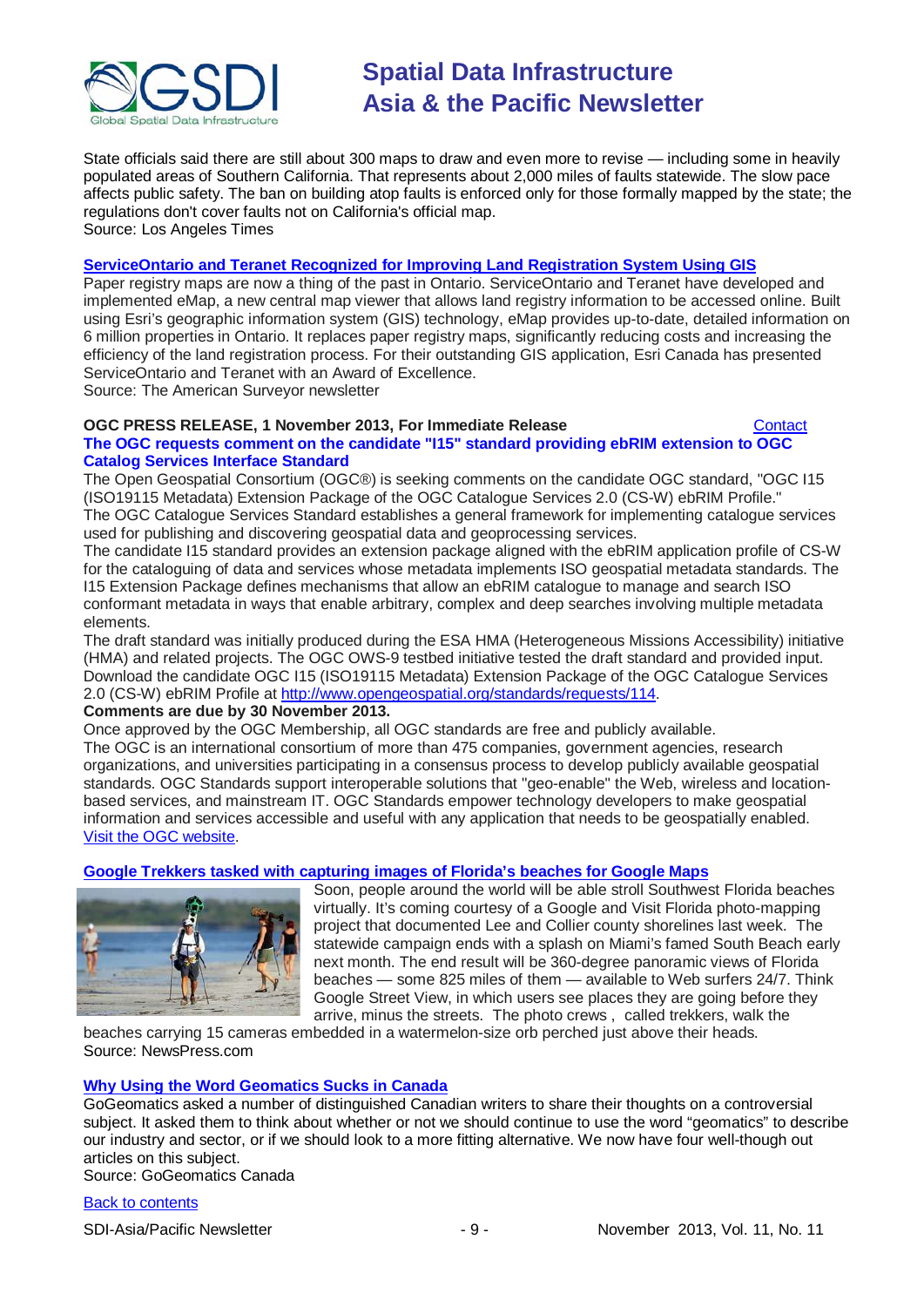

State officials said there are still about 300 maps to draw and even more to revise — including some in heavily populated areas of Southern California. That represents about 2,000 miles of faults statewide. The slow pace affects public safety. The ban on building atop faults is enforced only for those formally mapped by the state; the regulations don't cover faults not on California's official map. Source: Los Angeles Times

#### **[ServiceOntario and Teranet Recognized for Improving Land Registration System Using GIS](http://www.amerisurv.com/content/view/11942/)**

Paper registry maps are now a thing of the past in Ontario. ServiceOntario and Teranet have developed and implemented eMap, a new central map viewer that allows land registry information to be accessed online. Built using Esri's geographic information system (GIS) technology, eMap provides up-to-date, detailed information on 6 million properties in Ontario. It replaces paper registry maps, significantly reducing costs and increasing the efficiency of the land registration process. For their outstanding GIS application, Esri Canada has presented ServiceOntario and Teranet with an Award of Excellence.

Source: The American Surveyor newsletter

#### **OGC PRESS RELEASE, 1 November 2013, For Immediate Release [Contact](mailto:info@opengeospatial.org) Contact Contact The OGC requests comment on the candidate "I15" standard providing ebRIM extension to OGC Catalog Services Interface Standard**

The Open Geospatial Consortium (OGC®) is seeking comments on the candidate OGC standard, "OGC I15 (ISO19115 Metadata) Extension Package of the OGC Catalogue Services 2.0 (CS-W) ebRIM Profile." The OGC Catalogue Services Standard establishes a general framework for implementing catalogue services used for publishing and discovering geospatial data and geoprocessing services.

The candidate I15 standard provides an extension package aligned with the ebRIM application profile of CS-W for the cataloguing of data and services whose metadata implements ISO geospatial metadata standards. The I15 Extension Package defines mechanisms that allow an ebRIM catalogue to manage and search ISO conformant metadata in ways that enable arbitrary, complex and deep searches involving multiple metadata elements.

The draft standard was initially produced during the ESA HMA (Heterogeneous Missions Accessibility) initiative (HMA) and related projects. The OGC OWS-9 testbed initiative tested the draft standard and provided input. Download the candidate OGC I15 (ISO19115 Metadata) Extension Package of the OGC Catalogue Services 2.0 (CS-W) ebRIM Profile at [http://www.opengeospatial.org/standards/requests/114.](http://www.opengeospatial.org/standards/requests/114)

#### **Comments are due by 30 November 2013.**

Once approved by the OGC Membership, all OGC standards are free and publicly available. The OGC is an international consortium of more than 475 companies, government agencies, research organizations, and universities participating in a consensus process to develop publicly available geospatial standards. OGC Standards support interoperable solutions that "geo-enable" the Web, wireless and locationbased services, and mainstream IT. OGC Standards empower technology developers to make geospatial information and services accessible and useful with any application that needs to be geospatially enabled. [Visit the OGC website.](http://www.opengeospatial.org/contact)

#### **[Google Trekkers tasked with capturing images of Florida's beaches for Google Maps](http://www.news-press.com/article/20131021/COLUMNISTS14/310210023/Southwest-Florida-shoreline-will-soon-appear-Google-Maps?gcheck=1)**



Soon, people around the world will be able stroll Southwest Florida beaches virtually. It's coming courtesy of a Google and Visit Florida photo-mapping project that documented Lee and Collier county shorelines last week. The statewide campaign ends with a splash on Miami's famed South Beach early next month. The end result will be 360-degree panoramic views of Florida beaches — some 825 miles of them — available to Web surfers 24/7. Think Google Street View, in which users see places they are going before they arrive, minus the streets. The photo crews , called trekkers, walk the

beaches carrying 15 cameras embedded in a watermelon-size orb perched just above their heads. Source: NewsPress.com

#### **[Why Using the Word Geomatics Sucks in Canada](http://www.gogeomatics.ca/magazine/why-using-the-word-geomatics-sucks-in-canada.htm#!)**

GoGeomatics asked a number of distinguished Canadian writers to share their thoughts on a controversial subject. It asked them to think about whether or not we should continue to use the word "geomatics" to describe our industry and sector, or if we should look to a more fitting alternative. We now have four well-though out articles on this subject.

Source: GoGeomatics Canada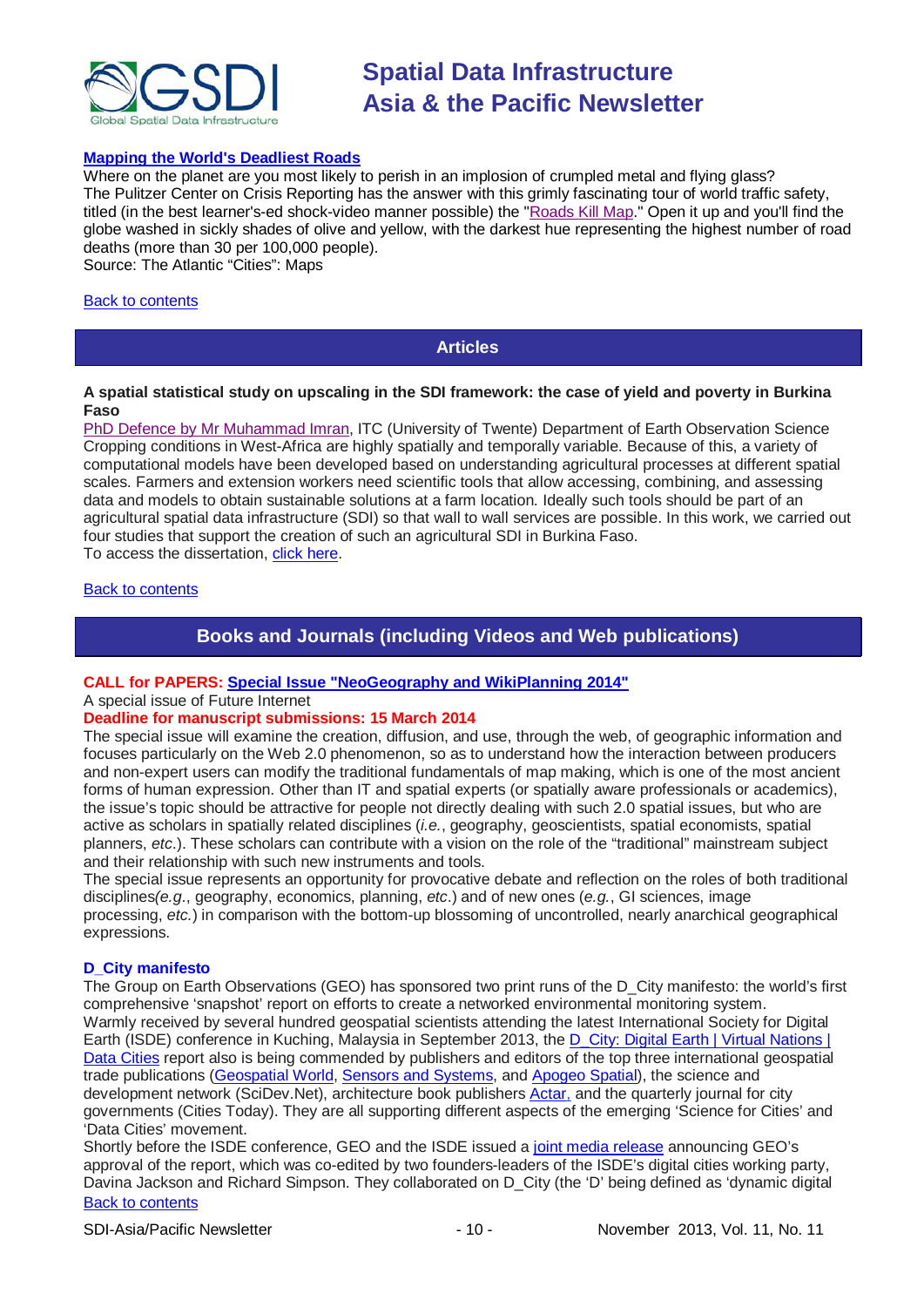

#### **[Mapping the World's](http://www.theatlanticcities.com/commute/2013/10/mapping-deadliest-roads-world/7266/) Deadliest Roads**

Where on the planet are you most likely to perish in an implosion of crumpled metal and flying glass? The Pulitzer Center on Crisis Reporting has the answer with this grimly fascinating tour of world traffic safety, titled (in the best learner's-ed shock-video manner possible) the ["Roads Kill Map.](http://roadskillmap.com/)" Open it up and you'll find the globe washed in sickly shades of olive and yellow, with the darkest hue representing the highest number of road deaths (more than 30 per 100,000 people).

Source: The Atlantic "Cities": Maps

#### <span id="page-9-0"></span>[Back to contents](#page-0-0)

### **Articles**

#### **A spatial statistical study on upscaling in the SDI framework: the case of yield and poverty in Burkina Faso**

[PhD Defence by Mr Muhammad Imran,](http://www.itc.nl/Pub/Events-Conferences/2013/October/PhD-Defence-Mr-Muhammad-Imran.html) ITC (University of Twente) Department of Earth Observation Science Cropping conditions in West-Africa are highly spatially and temporally variable. Because of this, a variety of computational models have been developed based on understanding agricultural processes at different spatial scales. Farmers and extension workers need scientific tools that allow accessing, combining, and assessing data and models to obtain sustainable solutions at a farm location. Ideally such tools should be part of an agricultural spatial data infrastructure (SDI) so that wall to wall services are possible. In this work, we carried out four studies that support the creation of such an agricultural SDI in Burkina Faso.

To access the dissertation, [click here.](http://www.itc.nl/library/papers_2013/phd/imran.pdf)

#### <span id="page-9-1"></span>[Back to contents](#page-0-0)

### **Books and Journals (including Videos and Web publications)**

#### **CALL for PAPERS: [Special Issue "NeoGeography and WikiPlanning 2014"](http://www.mdpi.com/journal/futureinternet/special_issues/neogeography-wikiplanning-2014)**

A special issue of Future Internet

#### **Deadline for manuscript submissions: 15 March 2014**

The special issue will examine the creation, diffusion, and use, through the web, of geographic information and focuses particularly on the Web 2.0 phenomenon, so as to understand how the interaction between producers and non-expert users can modify the traditional fundamentals of map making, which is one of the most ancient forms of human expression. Other than IT and spatial experts (or spatially aware professionals or academics), the issue's topic should be attractive for people not directly dealing with such 2.0 spatial issues, but who are active as scholars in spatially related disciplines (*i.e.*, geography, geoscientists, spatial economists, spatial planners, *etc*.). These scholars can contribute with a vision on the role of the "traditional" mainstream subject and their relationship with such new instruments and tools.

The special issue represents an opportunity for provocative debate and reflection on the roles of both traditional disciplines*(e.g*., geography, economics, planning, *etc*.) and of new ones (*e.g.*, GI sciences, image processing, *etc.*) in comparison with the bottom-up blossoming of uncontrolled, nearly anarchical geographical expressions.

#### **D\_City manifesto**

The Group on Earth Observations (GEO) has sponsored two print runs of the D\_City manifesto: the world's first comprehensive 'snapshot' report on efforts to create a networked environmental monitoring system. Warmly received by several hundred geospatial scientists attending the latest International Society for Digital Earth (ISDE) conference in Kuching, Malaysia in September 2013, the [D\\_City: Digital](http://dcitynetwork.net/manifesto) Earth | Virtual Nations | Data [Cities](http://dcitynetwork.net/manifesto) report also is being commended by publishers and editors of the top three international geospatial trade publications [\(Geospatial](http://www.geospatialworld.net/Company/PView.aspx?id=707_Article) World, [Sensors and Systems,](http://www.sensorsandsystems.com/index.php?Itemid=1502&catid=53&id=31311&option=com_content&view=article#sthash.LCjEjTtP.dpuf) and [Apogeo](http://apogeospatial.com/images/apogeo_su2013_lowres.pdf) Spatial), the science and development network (SciDev.Net), architecture book publishers [Actar,](https://www.facebook.com/actar.publishers) and the quarterly journal for city governments (Cities Today). They are all supporting different aspects of the emerging 'Science for Cities' and 'Data Cities' movement.

[Back to contents](#page-0-0) Shortly before the ISDE conference, GEO and the ISDE issued a joint media [release](http://dcitynetwork.net/wp-content/uploads/2013/09/GEOISDE-Data-Cities-press-release.pdf) announcing GEO's approval of the report, which was co-edited by two founders-leaders of the ISDE's digital cities working party, Davina Jackson and Richard Simpson. They collaborated on D\_City (the 'D' being defined as 'dynamic digital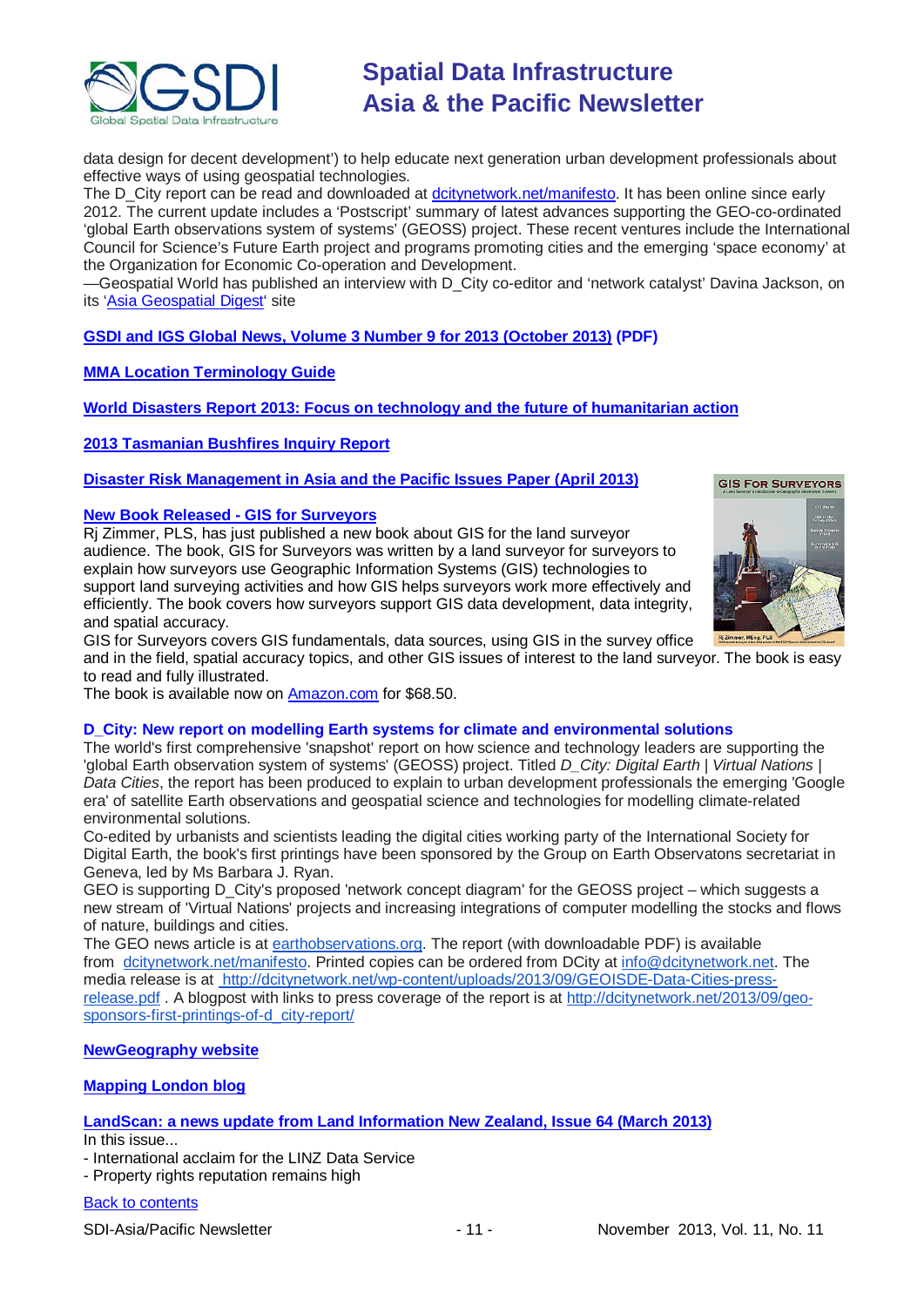

data design for decent development') to help educate next generation urban development professionals about effective ways of using geospatial technologies.

The D\_City report can be read and downloaded at **dcitynetwork.net/manifesto**. It has been online since early 2012. The current update includes a 'Postscript' summary of latest advances supporting the GEO-co-ordinated 'global Earth observations system of systems' (GEOSS) project. These recent ventures include the International Council for Science's Future Earth project and programs promoting cities and the emerging 'space economy' at the Organization for Economic Co-operation and Development.

—Geospatial World has published an interview with D\_City co-editor and 'network catalyst' Davina Jackson, on its ['Asia Geospatial Digest'](http://www.geospatialworld.net/Interview/ViewInterview.aspx?id=30665) site

**[GSDI and IGS Global News, Volume 3 Number 9 for 2013 \(October 2013\)](http://www.gsdi.org/newsletters#GSDI) (PDF)**

**[MMA Location Terminology Guide](http://www.mmaglobal.com/location-terminology-guide)**

**[World Disasters Report 2013: Focus on technology and the future of humanitarian action](http://www.ifrc.org/PageFiles/134658/WDR%202013%20complete.pdf)**

**[2013 Tasmanian Bushfires Inquiry Report](http://www.dpac.tas.gov.au/divisions/osem/2013_tasmanian_bushfires_inquiry_report/2013_tasmanian_bushfires_inquiry_report)**

**[Disaster Risk Management in Asia and the Pacific Issues Paper \(April 2013\)](http://www.pacificdisaster.net/pdnadmin/data/original/ADB_2013_DRM_Asia_Pacific.pdf)**

#### **[New Book Released -](http://www.gisuser.com/content/view/31052/2/) GIS for Surveyors**

Rj Zimmer, PLS, has just published a new book about GIS for the land surveyor audience. The book, GIS for Surveyors was written by a land surveyor for surveyors to explain how surveyors use Geographic Information Systems (GIS) technologies to support land surveying activities and how GIS helps surveyors work more effectively and efficiently. The book covers how surveyors support GIS data development, data integrity, and spatial accuracy.

GIS for Surveyors covers GIS fundamentals, data sources, using GIS in the survey office and in the field, spatial accuracy topics, and other GIS issues of interest to the land surveyor. The book is easy to read and fully illustrated.

The book is available now on [Amazon.com](http://www.amazon.com/GIS-Surveyors-Introduction-Geographic-Information/dp/0988873737/ref=sr_1_1?s=books&ie=UTF8&qid=1380286349&sr=1-1&keywords=gis+for+surveyors) for \$68.50.

#### **D\_City: New report on modelling Earth systems for climate and environmental solutions**

The world's first comprehensive 'snapshot' report on how science and technology leaders are supporting the 'global Earth observation system of systems' (GEOSS) project. Titled *D\_City: Digital Earth | Virtual Nations | Data Cities*, the report has been produced to explain to urban development professionals the emerging 'Google era' of satellite Earth observations and geospatial science and technologies for modelling climate-related environmental solutions.

Co-edited by urbanists and scientists leading the digital cities working party of the International Society for Digital Earth, the book's first printings have been sponsored by the Group on Earth Observatons secretariat in Geneva, led by Ms Barbara J. Ryan.

GEO is supporting D\_City's proposed 'network concept diagram' for the GEOSS project – which suggests a new stream of 'Virtual Nations' projects and increasing integrations of computer modelling the stocks and flows of nature, buildings and cities.

The GEO news article is at [earthobservations.org.](http://earthobservations.org/) The report (with downloadable PDF) is available from [dcitynetwork.net/manifesto.](http://dcitynetwork.net/manifesto) Printed copies can be ordered from DCity at [info@dcitynetwork.net.](mailto:info@dcitynetwork.net) The media release is at [http://dcitynetwork.net/wp-content/uploads/2013/09/GEOISDE-Data-Cities-press](http://dcitynetwork.net/wp-content/uploads/2013/09/GEOISDE-Data-Cities-press-release.pdf)[release.pdf](http://dcitynetwork.net/wp-content/uploads/2013/09/GEOISDE-Data-Cities-press-release.pdf) . A blogpost with links to press coverage of the report is at [http://dcitynetwork.net/2013/09/geo](http://dcitynetwork.net/2013/09/geo-sponsors-first-printings-of-d_city-report/)[sponsors-first-printings-of-d\\_city-report/](http://dcitynetwork.net/2013/09/geo-sponsors-first-printings-of-d_city-report/)

#### **[NewGeography website](http://www.newgeography.com/)**

#### **Mapping [London blog](http://mappinglondon.co.uk/)**

**[LandScan: a news update from Land Information New Zealand, Issue 64 \(March 2013\)](http://www.linz.govt.nz/sites/default/files/docs/supporting-info/about-linz/publications/landscan-201303.pdf)** In this issue...

- International acclaim for the LINZ Data Service

- Property rights reputation remains high



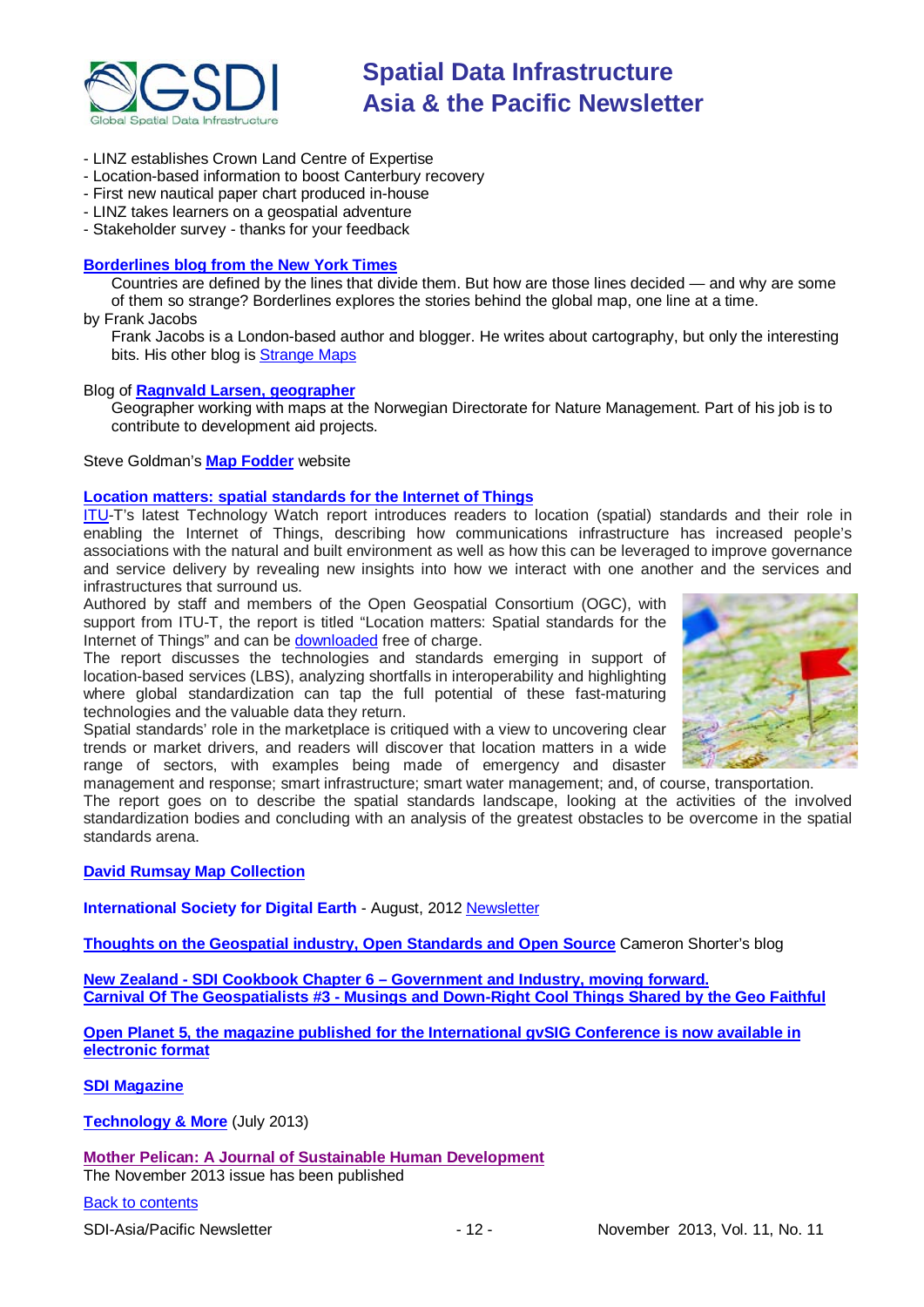

- LINZ establishes Crown Land Centre of Expertise
- Location-based information to boost Canterbury recovery
- First new nautical paper chart produced in-house
- LINZ takes learners on a geospatial adventure

- Stakeholder survey - thanks for your feedback

#### **[Borderlines blog from the New York Times](http://opinionator.blogs.nytimes.com/category/borderlines/)**

Countries are defined by the lines that divide them. But how are those lines decided — and why are some of them so strange? Borderlines explores the stories behind the global map, one line at a time.

#### by Frank Jacobs

Frank Jacobs is a London-based author and blogger. He writes about cartography, but only the interesting bits. His other blog is [Strange Maps](http://bigthink.com/blogs/strange-maps)

#### Blog of **[Ragnvald Larsen, geographer](http://www.mindland.com/wp/)**

Geographer working with maps at the Norwegian Directorate for Nature Management. Part of his job is to contribute to development aid projects.

#### Steve Goldman's **[Map Fodder](http://www.mapfodder.com/index.html)** website

#### **[Location matters: spatial standards for the Internet of Things](http://www.itu.int/dms_pub/itu-t/oth/23/01/T23010000210001PDFE.pdf)**

[ITU-](http://newslog.itu.int/archives/148)T's latest Technology Watch report introduces readers to location (spatial) standards and their role in enabling the Internet of Things, describing how communications infrastructure has increased people's associations with the natural and built environment as well as how this can be leveraged to improve governance and service delivery by revealing new insights into how we interact with one another and the services and infrastructures that surround us.

Authored by staff and members of the Open Geospatial Consortium (OGC), with support from ITU-T, the report is titled "Location matters: Spatial standards for the Internet of Things" and can be [downloaded](http://www.itu.int/dms_pub/itu-t/oth/23/01/T23010000210001PDFE.pdf) free of charge.

The report discusses the technologies and standards emerging in support of location-based services (LBS), analyzing shortfalls in interoperability and highlighting where global standardization can tap the full potential of these fast-maturing technologies and the valuable data they return.

Spatial standards' role in the marketplace is critiqued with a view to uncovering clear trends or market drivers, and readers will discover that location matters in a wide range of sectors, with examples being made of emergency and disaster



management and response; smart infrastructure; smart water management; and, of course, transportation. The report goes on to describe the spatial standards landscape, looking at the activities of the involved standardization bodies and concluding with an analysis of the greatest obstacles to be overcome in the spatial standards arena.

#### **[David Rumsay Map Collection](http://www.davidrumsey.com/)**

**International Society for Digital Earth - August, 2012 [Newsletter](http://www.digitalearth-isde.org/news/isde-newsletter(201208).html)** 

**[Thoughts on the Geospatial industry, Open Standards and Open Source](http://cameronshorter.blogspot.com/2011/06/memoirs-of-cat-herder-coordinating.html)** Cameron Shorter's blog

**New Zealand - SDI Cookbook Chapter 6 – [Government and Industry, moving forward.](http://www.geospatial.govt.nz/sdi-cookbook-chapter-6-government-and-industry-moving-forward) Carnival Of The Geospatialists #3 - [Musings and Down-Right Cool Things Shared by the Geo Faithful](http://www.gisuser.com/content/view/25690/28/)**

**[Open Planet 5, the magazine published for the International gvSIG Conference is now available in](http://jornadas.gvsig.org/descargas/magazine)  [electronic format](http://jornadas.gvsig.org/descargas/magazine)**

#### **[SDI Magazine](http://www.sdimag.com/)**

**[Technology & More](http://www.trimble.com/technologyandmore/i2-2013/)** (July 2013)

**Mother Pelican: A Journal [of Sustainable Human Development](http://www.pelicanweb.org/solisustv09n11page1.html)** The November 2013 issue has been published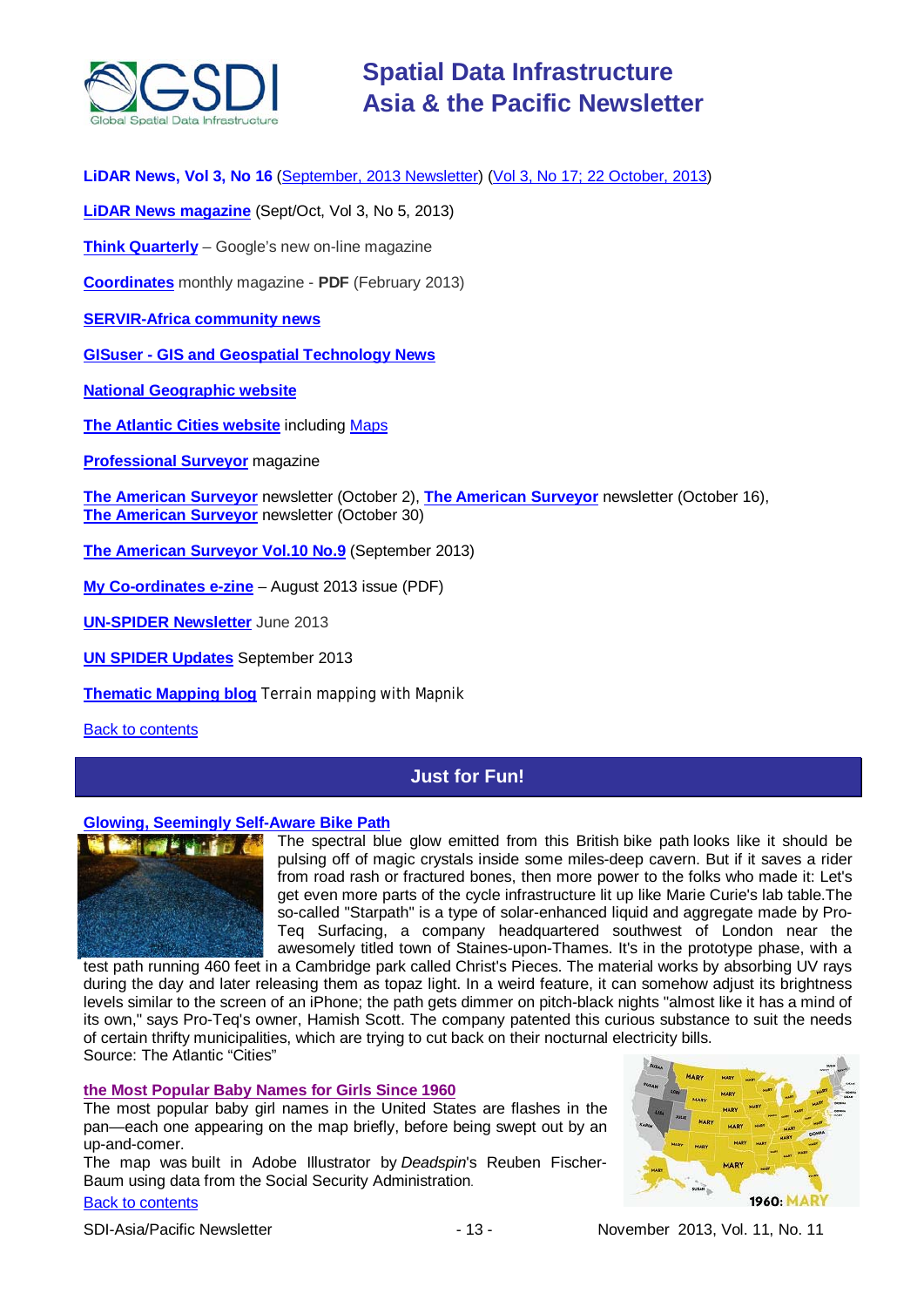

**LiDAR News, Vol 3, No 16** [\(September,](http://www.lidarnews.com/newsletter/Vol3No16.htm) 2013 Newsletter) [\(Vol 3, No 17; 22 October, 2013\)](http://www.lidarnews.com/newsletter/Vol3No17.htm)

**[LiDAR News magazine](http://lidarnews.com/emag/2013/vol3no5/index.html)** (Sept/Oct, Vol 3, No 5, 2013)

**[Think Quarterly](http://thinkquarterly.co.uk/#aboutthebook)** – Google's new on-line magazine

**[Coordinates](http://mycoordinates.org/pdf/feb13.pdf)** monthly magazine - **PDF** (February 2013)

**[SERVIR-Africa community news](http://www.servirglobal.net/africa/en/News/CommunityNews.aspx)**

**GISuser - [GIS and Geospatial Technology News](http://www.gisuser.com/)**

**[National Geographic website](http://www.nationalgeographic.com/)**

**[The Atlantic Cities website](http://www.theatlanticcities.com/)** including [Maps](http://www.theatlanticcities.com/posts/map/)

**[Professional Surveyor](http://www.profsurv.com/)** magazine

**[The American Surveyor](http://www.amerisurv.com/newsletter/02OCT2013.htm)** newsletter (October 2), **[The American Surveyor](http://www.amerisurv.com/newsletter/16OCT2013.htm)** newsletter (October 16), **[The American Surveyor](http://www.amerisurv.com/newsletter/30OCT2013.htm)** newsletter (October 30)

**[The American Surveyor Vol.10 No.9](http://amerisurv.com/emag/2013/vol10no9/index.html)** (September 2013)

**[My Co-ordinates e-zine](http://mycoordinates.org/pdf/aug13.pdf)** – August 2013 issue (PDF)

**[UN-SPIDER](http://www.un-spider.org/about/newsletter/un-spider-newsletter-213-earth-observation-disaster-response) Newsletter** June 2013

**[UN SPIDER Updates](http://www.un-spider.org/about/updates/un-spider-updates-may-2013)** September 2013

**[Thematic Mapping blog](http://blog.thematicmapping.org/)** Terrain mapping with Mapnik

<span id="page-12-0"></span>[Back to contents](#page-0-0)

### **Just for Fun!**

#### **[Glowing, Seemingly Self-Aware Bike Path](http://www.theatlanticcities.com/commute/2013/10/britain-experimenting-glowing-seemingly-self-aware-bike-path/7413/)**



The spectral blue glow emitted from this British bike path looks like it should be pulsing off of magic crystals inside some miles-deep cavern. But if it saves a rider from road rash or fractured bones, then more power to the folks who made it: Let's get even more parts of the cycle infrastructure lit up like Marie Curie's lab table.The so-called "Starpath" is a type of solar-enhanced liquid and aggregate made by Pro-Teq Surfacing, a company headquartered southwest of London near the awesomely titled town of Staines-upon-Thames. It's in the prototype phase, with a

test path running 460 feet in a Cambridge park called Christ's Pieces. The material works by absorbing UV rays during the day and later releasing them as topaz light. In a weird feature, it can somehow adjust its brightness levels similar to the screen of an iPhone; the path gets dimmer on pitch-black nights "almost like it has a mind of its own," says Pro-Teq's owner, Hamish Scott. The company patented this curious substance to suit the needs of certain thrifty municipalities, which are trying to cut back on their nocturnal electricity bills. Source: The Atlantic "Cities"

#### **[the Most Popular Baby Names for Girls Since 1960](http://www.theatlanticcities.com/arts-and-lifestyle/2013/10/wondrous-gif-shows-most-popular-baby-names-girls-1960/7299/)**

The most popular baby girl names in the United States are flashes in the pan—each one appearing on the map briefly, before being swept out by an up-and-comer.

The map was built in Adobe Illustrator by *Deadspin*'s Reuben Fischer-Baum using data from the Social Security Administration.

### [Back to contents](#page-0-0)



SDI-Asia/Pacific Newsletter 1992 - 13 - November 2013, Vol. 11, No. 11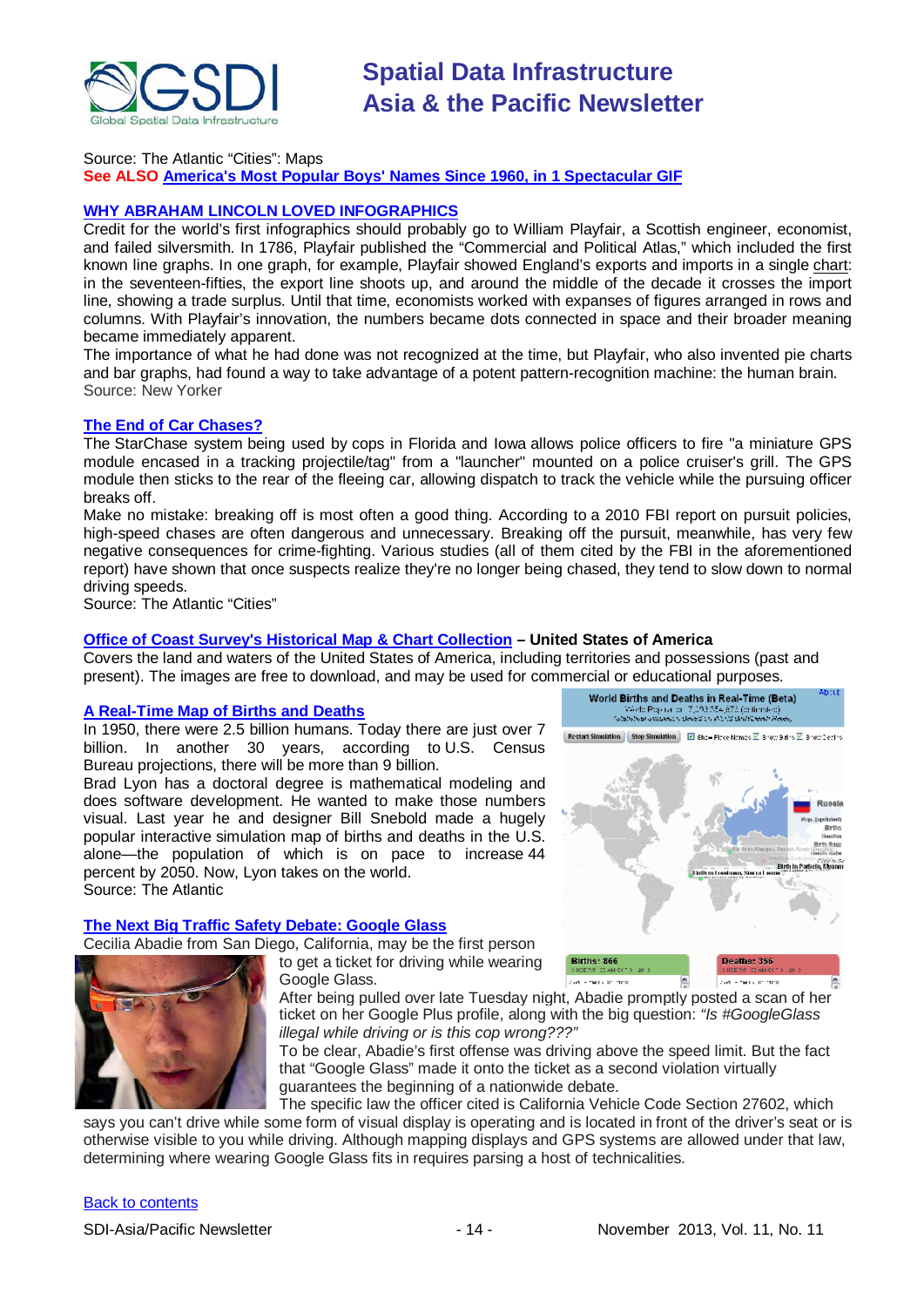

#### Source: The Atlantic "Cities": Maps **See ALSO [America's Most Popular Boys' Names Since 1960, in 1 Spectacular GIF](http://www.theatlanticcities.com/arts-and-lifestyle/2013/10/americas-most-popular-boys-names-1960-1-spectacular-gif/7369/)**

#### **[WHY ABRAHAM LINCOLN LOVED INFOGRAPHICS](http://www.newyorker.com/online/blogs/elements/2013/10/why-abraham-lincoln-loved-infographics.html?utm_source=tny&utm_medium=email&utm_campaign=dailyemail&mbid=nl_Daily%20(41))**

Credit for the world's first infographics should probably go to William Playfair, a Scottish engineer, economist, and failed silversmith. In 1786, Playfair published the "Commercial and Political Atlas," which included the first known line graphs. In one graph, for example, Playfair showed England's exports and imports in a single [chart:](http://en.wikipedia.org/wiki/File:Playfair_TimeSeries-2.png) in the seventeen-fifties, the export line shoots up, and around the middle of the decade it crosses the import line, showing a trade surplus. Until that time, economists worked with expanses of figures arranged in rows and columns. With Playfair's innovation, the numbers became dots connected in space and their broader meaning became immediately apparent.

The importance of what he had done was not recognized at the time, but Playfair, who also invented pie charts and bar graphs, had found a way to take advantage of a potent pattern-recognition machine: the human brain. Source: New Yorker

#### **[The End of Car Chases?](http://www.theatlanticcities.com/technology/2013/10/end-car-chases/7425/)**

The StarChase system being used by cops in Florida and Iowa allows police officers to fire "a miniature GPS module encased in a tracking projectile/tag" from a "launcher" mounted on a police cruiser's grill. The GPS module then sticks to the rear of the fleeing car, allowing dispatch to track the vehicle while the pursuing officer breaks off.

Make no mistake: breaking off is most often a good thing. According to a 2010 FBI report on pursuit policies, high-speed chases are often dangerous and unnecessary. Breaking off the pursuit, meanwhile, has very few negative consequences for crime-fighting. Various studies (all of them cited by the FBI in the aforementioned report) have shown that once suspects realize they're no longer being chased, they tend to slow down to normal driving speeds.

Source: The Atlantic "Cities"

#### **[Office of Coast Survey's Historical Map & Chart Collection](http://historicalcharts.noaa.gov/about.html) – United States of America**

Covers the land and waters of the United States of America, including territories and possessions (past and present). The images are free to download, and may be used for commercial or educational purposes.

#### **[A Real-Time Map of Births and Deaths](http://www.theatlantic.com/health/archive/2013/10/a-real-time-map-of-births-and-deaths/280609/)**

In 1950, there were 2.5 billion humans. Today there are just over 7 billion. In another 30 years, according to U.S. Census Bureau projections, there will be more than 9 billion.

Brad Lyon has a doctoral degree is mathematical modeling and does software development. He wanted to make those numbers visual. Last year he and designer Bill Snebold made a hugely popular interactive simulation map of births and deaths in the U.S. alone—the population of which is on pace to increase 44 percent by 2050. Now, Lyon takes on the world. Source: The Atlantic

#### **[The Next Big Traffic Safety Debate: Google Glass](http://www.theatlanticcities.com/technology/2013/10/next-big-traffic-safety-debate-google-glass/7428/)**

Cecilia Abadie from San Diego, California, may be the first person

to get a ticket for driving while wearing Google Glass.





After being pulled over late Tuesday night, Abadie promptly posted a scan of her ticket on her Google Plus profile, along with the big question: *"Is #GoogleGlass illegal while driving or is this cop wrong???"*

To be clear, Abadie's first offense was driving above the speed limit. But the fact that "Google Glass" made it onto the ticket as a second violation virtually guarantees the beginning of a nationwide debate.

The specific law the officer cited is California Vehicle Code Section 27602, which says you can't drive while some form of visual display is operating and is located in front of the driver's seat or is otherwise visible to you while driving. Although mapping displays and GPS systems are allowed under that law, determining where wearing Google Glass fits in requires parsing a host of technicalities.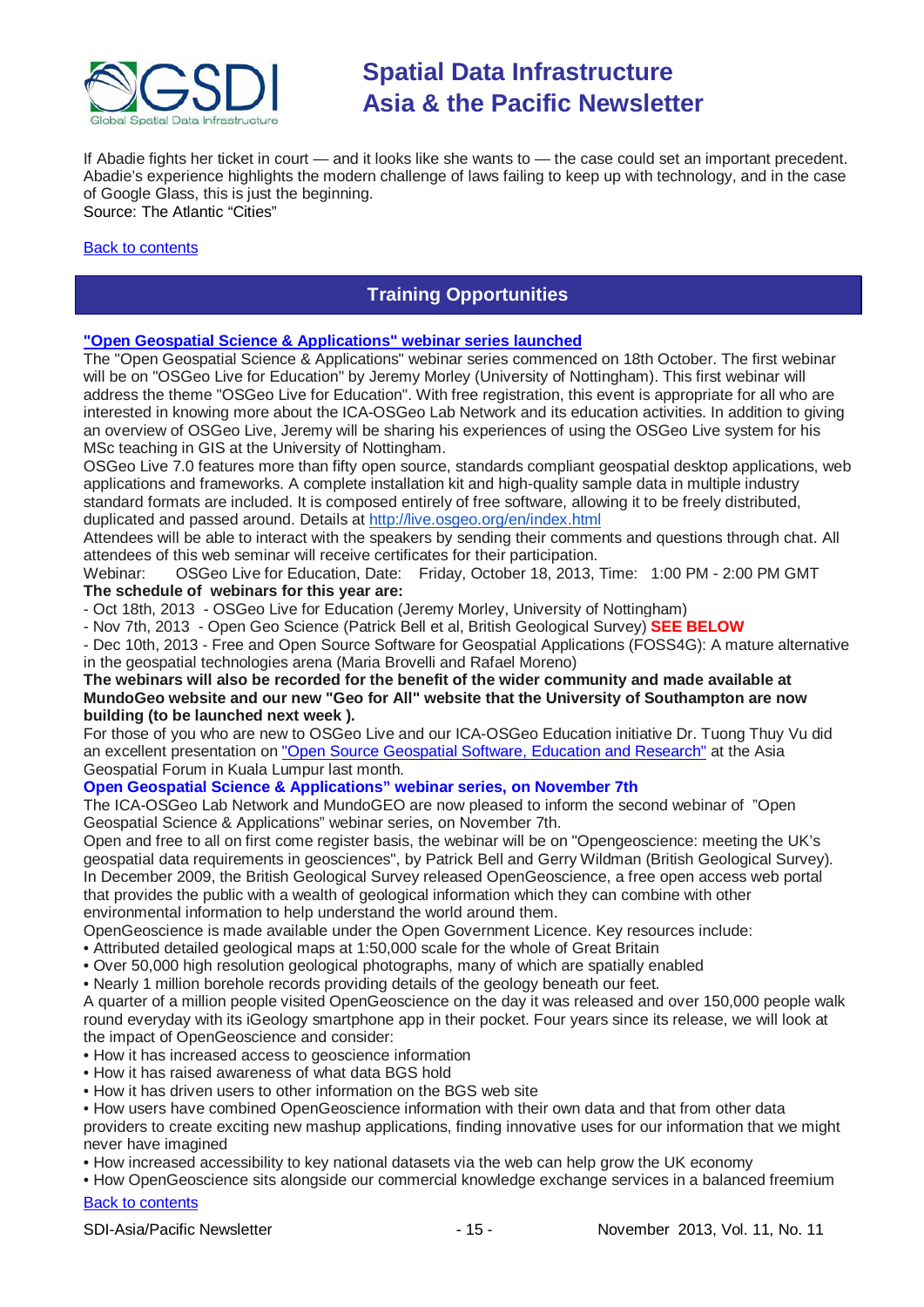

If Abadie fights her ticket in court — and it looks like she wants to — the case could set an important precedent. Abadie's experience highlights the modern challenge of laws failing to keep up with technology, and in the case of Google Glass, this is just the beginning.

Source: The Atlantic "Cities"

#### <span id="page-14-0"></span>[Back to contents](#page-0-0)

# **Training Opportunities**

#### **"Open Geospatial Science & Applications" webinar series launched**

The "Open Geospatial Science & Applications" webinar series commenced on 18th October. The first webinar will be on "OSGeo Live for Education" by Jeremy Morley (University of Nottingham). This first webinar will address the theme "OSGeo Live for Education". With free registration, this event is appropriate for all who are interested in knowing more about the ICA-OSGeo Lab Network and its education activities. In addition to giving an overview of OSGeo Live, Jeremy will be sharing his experiences of using the OSGeo Live system for his MSc teaching in GIS at the University of Nottingham.

OSGeo Live 7.0 features more than fifty open source, standards compliant geospatial desktop applications, web applications and frameworks. A complete installation kit and high-quality sample data in multiple industry standard formats are included. It is composed entirely of free software, allowing it to be freely distributed, duplicated and passed around. Details at <http://live.osgeo.org/en/index.html>

Attendees will be able to interact with the speakers by sending their comments and questions through chat. All attendees of this web seminar will receive certificates for their participation.

Webinar: OSGeo Live for Education, Date: Friday, October 18, 2013, Time: 1:00 PM - 2:00 PM GMT **The schedule of webinars for this year are:**

- Oct 18th, 2013 - OSGeo Live for Education (Jeremy Morley, University of Nottingham)

- Nov 7th, 2013 - Open Geo Science (Patrick Bell et al, British Geological Survey) **SEE BELOW**

- Dec 10th, 2013 - Free and Open Source Software for Geospatial Applications (FOSS4G): A mature alternative in the geospatial technologies arena (Maria Brovelli and Rafael Moreno)

#### **The webinars will also be recorded for the benefit of the wider community and made available at MundoGeo website and our new "Geo for All" website that the University of Southampton are now building (to be launched next week ).**

For those of you who are new to OSGeo Live and our ICA-OSGeo Education initiative Dr. Tuong Thuy Vu did an excellent presentation o[n "Open Source Geospatial Software, Education and Research"](http://prezi.com/hv18xf8_wolq/?utm_campaign=share&utm_medium=copy) at the Asia Geospatial Forum in Kuala Lumpur last month.

#### **Open Geospatial Science & Applications" webinar series, on November 7th**

The ICA-OSGeo Lab Network and MundoGEO are now pleased to inform the second webinar of "Open Geospatial Science & Applications" webinar series, on November 7th.

Open and free to all on first come register basis, the webinar will be on "Opengeoscience: meeting the UK's geospatial data requirements in geosciences", by Patrick Bell and Gerry Wildman (British Geological Survey). In December 2009, the British Geological Survey released OpenGeoscience, a free open access web portal that provides the public with a wealth of geological information which they can combine with other environmental information to help understand the world around them.

OpenGeoscience is made available under the Open Government Licence. Key resources include:

- Attributed detailed geological maps at 1:50,000 scale for the whole of Great Britain
- Over 50,000 high resolution geological photographs, many of which are spatially enabled
- Nearly 1 million borehole records providing details of the geology beneath our feet.

A quarter of a million people visited OpenGeoscience on the day it was released and over 150,000 people walk round everyday with its iGeology smartphone app in their pocket. Four years since its release, we will look at the impact of OpenGeoscience and consider:

• How it has increased access to geoscience information

- How it has raised awareness of what data BGS hold
- How it has driven users to other information on the BGS web site

• How users have combined OpenGeoscience information with their own data and that from other data providers to create exciting new mashup applications, finding innovative uses for our information that we might never have imagined

• How increased accessibility to key national datasets via the web can help grow the UK economy

[Back to contents](#page-0-0) • How OpenGeoscience sits alongside our commercial knowledge exchange services in a balanced freemium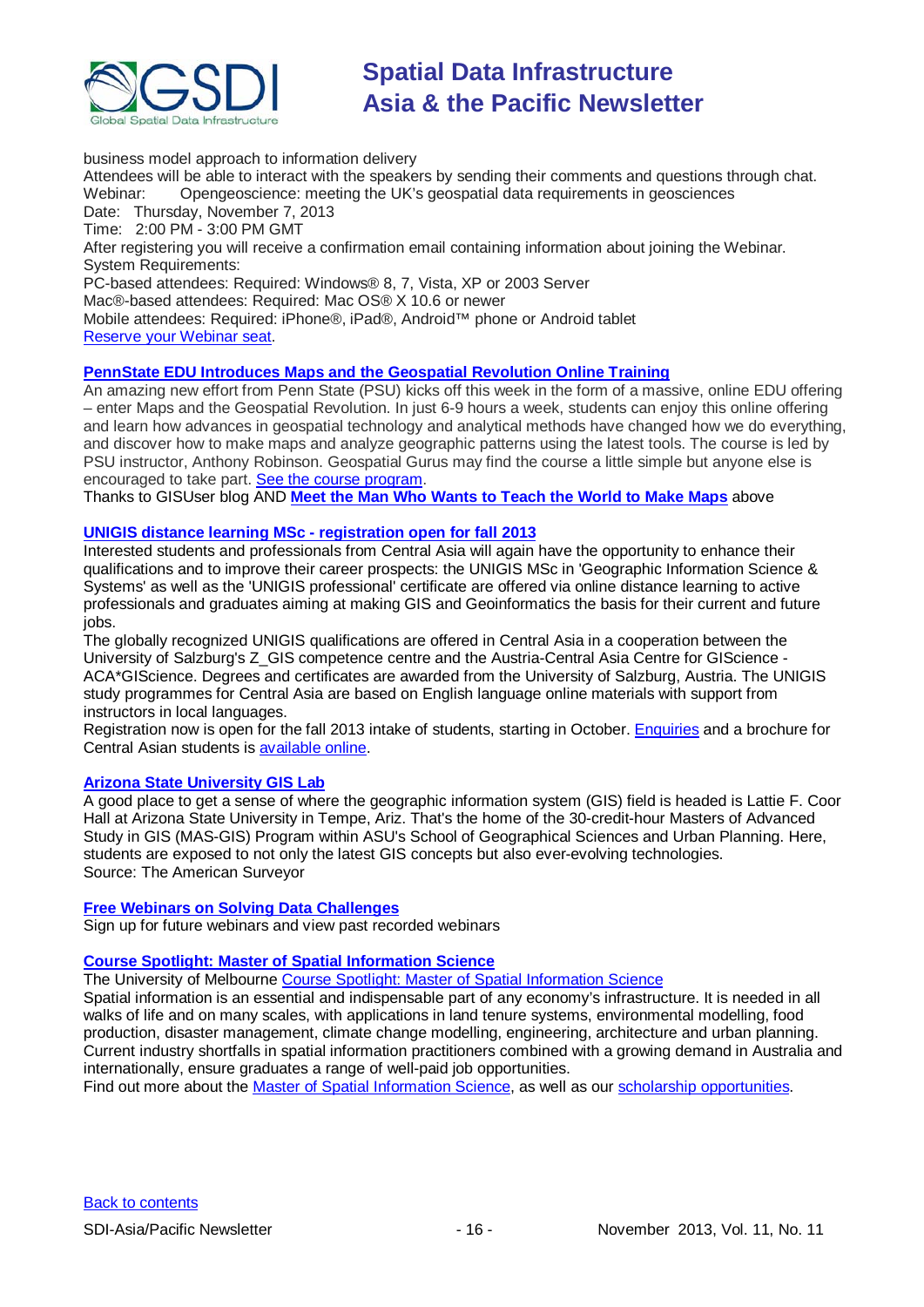

business model approach to information delivery Attendees will be able to interact with the speakers by sending their comments and questions through chat.<br>Webinar: Connected meeting the UK's geospatial data requirements in geosciences Opengeoscience: meeting the UK's geospatial data requirements in geosciences Date: Thursday, November 7, 2013 Time: 2:00 PM - 3:00 PM GMT After registering you will receive a confirmation email containing information about joining the Webinar. System Requirements: PC-based attendees: Required: Windows® 8, 7, Vista, XP or 2003 Server Mac®-based attendees: Required: Mac OS® X 10.6 or newer Mobile attendees: Required: iPhone®, iPad®, Android™ phone or Android tablet [Reserve your Webinar seat.](https://www2.gotomeeting.com/register/446065050)

### **[PennState EDU Introduces Maps and the Geospatial](http://blog.gisuser.com/2013/07/16/pennstate-edu-introduces-maps-and-the-geospatial-revolution-online-training/) Revolution Online Training**

An amazing new effort from Penn State (PSU) kicks off this week in the form of a massive, online EDU offering – enter Maps and the Geospatial Revolution. In just 6-9 hours a week, students can enjoy this online offering and learn how advances in geospatial technology and analytical methods have changed how we do everything, and discover how to make maps and analyze geographic patterns using the latest tools. The course is led by PSU instructor, Anthony Robinson. Geospatial Gurus may find the course a little simple but anyone else is encouraged to take part. [See the course program.](https://www.coursera.org/course/maps)

Thanks to GISUser blog AND **Meet the [Man Who Wants to Teach the World to Make Maps](#page-12-0)** above

#### **[UNIGIS distance learning MSc -](http://acagisc.blogspot.com/2013/06/unigis-distance-learning-msc.html) registration open for fall 2013**

Interested students and professionals from Central Asia will again have the opportunity to enhance their qualifications and to improve their career prospects: the UNIGIS MSc in 'Geographic Information Science & Systems' as well as the 'UNIGIS professional' certificate are offered via online distance learning to active professionals and graduates aiming at making GIS and Geoinformatics the basis for their current and future iobs.

The globally recognized UNIGIS qualifications are offered in Central Asia in a cooperation between the University of Salzburg's Z GIS competence centre and the Austria-Central Asia Centre for GIScience -ACA\*GIScience. Degrees and certificates are awarded from the University of Salzburg, Austria. The UNIGIS study programmes for Central Asia are based on English language online materials with support from instructors in local languages.

Registration now is open for the fall 2013 intake of students, starting in October. [Enquiries](mailto:unigis@aca-giscience.org) and a brochure for Central Asian students is [available online.](https://docs.google.com/file/d/0B1W9laE7MF3yNjZjMzM0NGItOGU1Ni00ODRkLTgwMTEtOTRjYTUxMWU5MTdi/edit?pli=1&hl=en)

#### **[Arizona State University](http://www.amerisurv.com/content/view/11050/153/) GIS Lab**

A good place to get a sense of where the geographic information system (GIS) field is headed is Lattie F. Coor Hall at Arizona State University in Tempe, Ariz. That's the home of the 30-credit-hour Masters of Advanced Study in GIS (MAS-GIS) Program within ASU's School of Geographical Sciences and Urban Planning. Here, students are exposed to not only the latest GIS concepts but also ever-evolving technologies. Source: The American Surveyor

#### **[Free Webinars on Solving Data Challenges](http://www.safe.com/learning/webinars/)**

Sign up for future webinars and view past recorded webinars

#### **[Course Spotlight: Master of Spatial Information Science](http://themelbourneengineer.eng.unimelb.edu.au/2012/02/course-spotlight-master-of-spatial-information-science/)**

The University of Melbourne [Course Spotlight: Master of Spatial Information Science](http://themelbourneengineer.eng.unimelb.edu.au/2012/02/course-spotlight-master-of-spatial-information-science/)

Spatial information is an essential and indispensable part of any economy's infrastructure. It is needed in all walks of life and on many scales, with applications in land tenure systems, environmental modelling, food production, disaster management, climate change modelling, engineering, architecture and urban planning. Current industry shortfalls in spatial information practitioners combined with a growing demand in Australia and internationally, ensure graduates a range of well-paid job opportunities.

Find out more about the [Master of Spatial Information Science,](http://www.msi.unimelb.edu.au/study/graduate/master-of-spatial-information-science/) as well as our [scholarship opportunities.](http://www.eng.unimelb.edu.au/study/graduate/scholarships.html)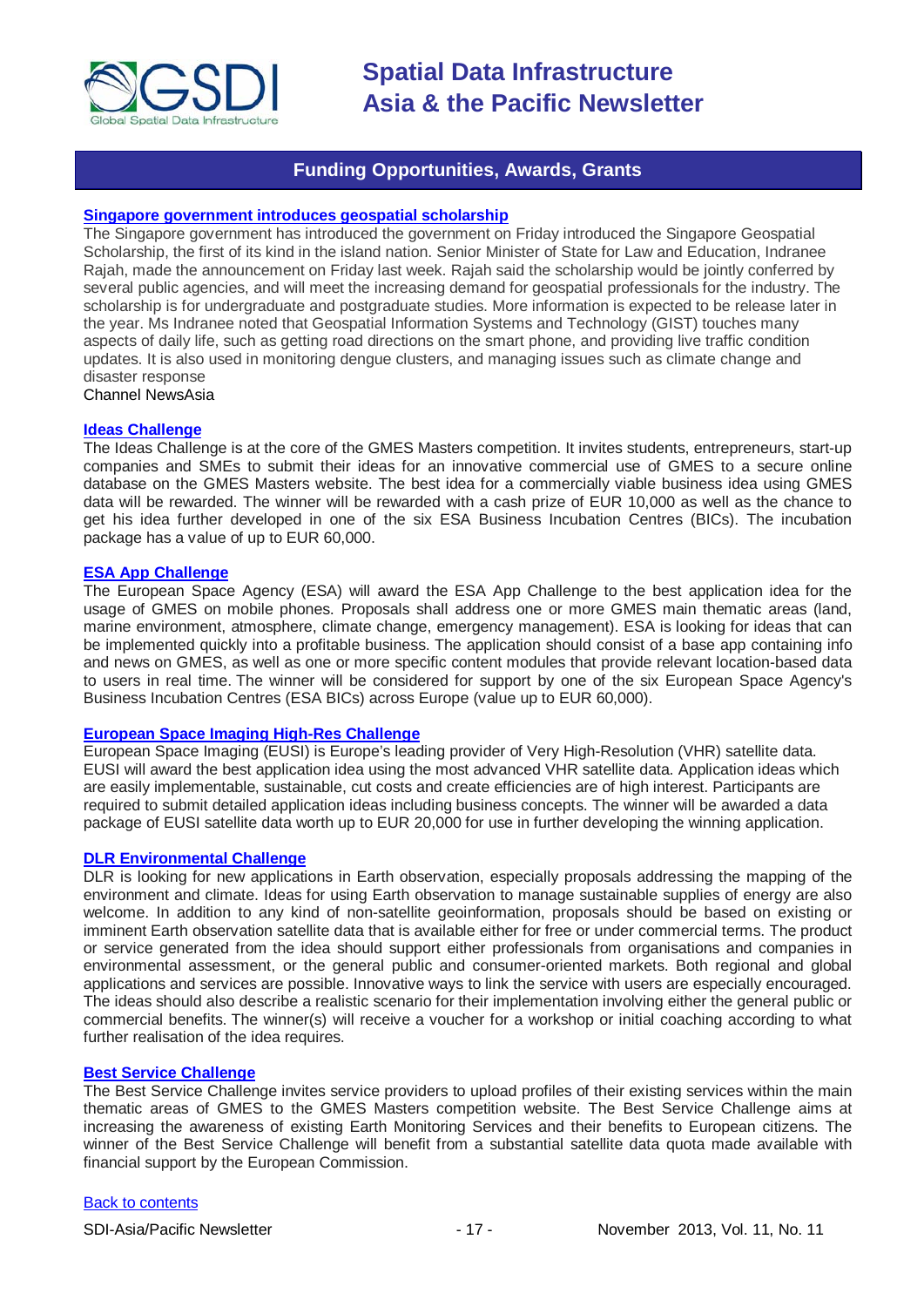

### **Funding Opportunities, Awards, Grants**

#### <span id="page-16-0"></span>**[Singapore government introduces geospatial scholarship](http://www.channelnewsasia.com/news/singapore/government-introduces/763842.html)**

The Singapore government has introduced the government on Friday introduced the Singapore Geospatial Scholarship, the first of its kind in the island nation. Senior Minister of State for Law and Education, Indranee Rajah, made the announcement on Friday last week. Rajah said the scholarship would be jointly conferred by several public agencies, and will meet the increasing demand for geospatial professionals for the industry. The scholarship is for undergraduate and postgraduate studies. More information is expected to be release later in the year. Ms Indranee noted that Geospatial Information Systems and Technology (GIST) touches many aspects of daily life, such as getting road directions on the smart phone, and providing live traffic condition updates. It is also used in monitoring dengue clusters, and managing issues such as climate change and disaster response

Channel NewsAsia

#### **[Ideas Challenge](http://www.gmes-masters.com/ideas-challenge)**

The Ideas Challenge is at the core of the GMES Masters competition. It invites students, entrepreneurs, start-up companies and SMEs to submit their ideas for an innovative commercial use of GMES to a secure online database on the GMES Masters website. The best idea for a commercially viable business idea using GMES data will be rewarded. The winner will be rewarded with a cash prize of EUR 10,000 as well as the chance to get his idea further developed in one of the six ESA Business Incubation Centres (BICs). The incubation package has a value of up to EUR 60,000.

#### **[ESA App Challenge](http://www.gmes-masters.com/esa-app-challenge)**

The European Space Agency (ESA) will award the ESA App Challenge to the best application idea for the usage of GMES on mobile phones. Proposals shall address one or more GMES main thematic areas (land, marine environment, atmosphere, climate change, emergency management). ESA is looking for ideas that can be implemented quickly into a profitable business. The application should consist of a base app containing info and news on GMES, as well as one or more specific content modules that provide relevant location-based data to users in real time. The winner will be considered for support by one of the six European Space Agency's Business Incubation Centres (ESA BICs) across Europe (value up to EUR 60,000).

#### **[European Space Imaging High-Res Challenge](http://www.gmes-masters.com/european-space-0)**

European Space Imaging (EUSI) is Europe's leading provider of Very High-Resolution (VHR) satellite data. EUSI will award the best application idea using the most advanced VHR satellite data. Application ideas which are easily implementable, sustainable, cut costs and create efficiencies are of high interest. Participants are required to submit detailed application ideas including business concepts. The winner will be awarded a data package of EUSI satellite data worth up to EUR 20,000 for use in further developing the winning application.

#### **[DLR Environmental Challenge](http://www.gmes-masters.com/dlr-environmental)**

DLR is looking for new applications in Earth observation, especially proposals addressing the mapping of the environment and climate. Ideas for using Earth observation to manage sustainable supplies of energy are also welcome. In addition to any kind of non-satellite geoinformation, proposals should be based on existing or imminent Earth observation satellite data that is available either for free or under commercial terms. The product or service generated from the idea should support either professionals from organisations and companies in environmental assessment, or the general public and consumer-oriented markets. Both regional and global applications and services are possible. Innovative ways to link the service with users are especially encouraged. The ideas should also describe a realistic scenario for their implementation involving either the general public or commercial benefits. The winner(s) will receive a voucher for a workshop or initial coaching according to what further realisation of the idea requires.

#### **[Best Service Challenge](http://www.gmes-masters.com/best-service)**

The Best Service Challenge invites service providers to upload profiles of their existing services within the main thematic areas of GMES to the GMES Masters competition website. The Best Service Challenge aims at increasing the awareness of existing Earth Monitoring Services and their benefits to European citizens. The winner of the Best Service Challenge will benefit from a substantial satellite data quota made available with financial support by the European Commission.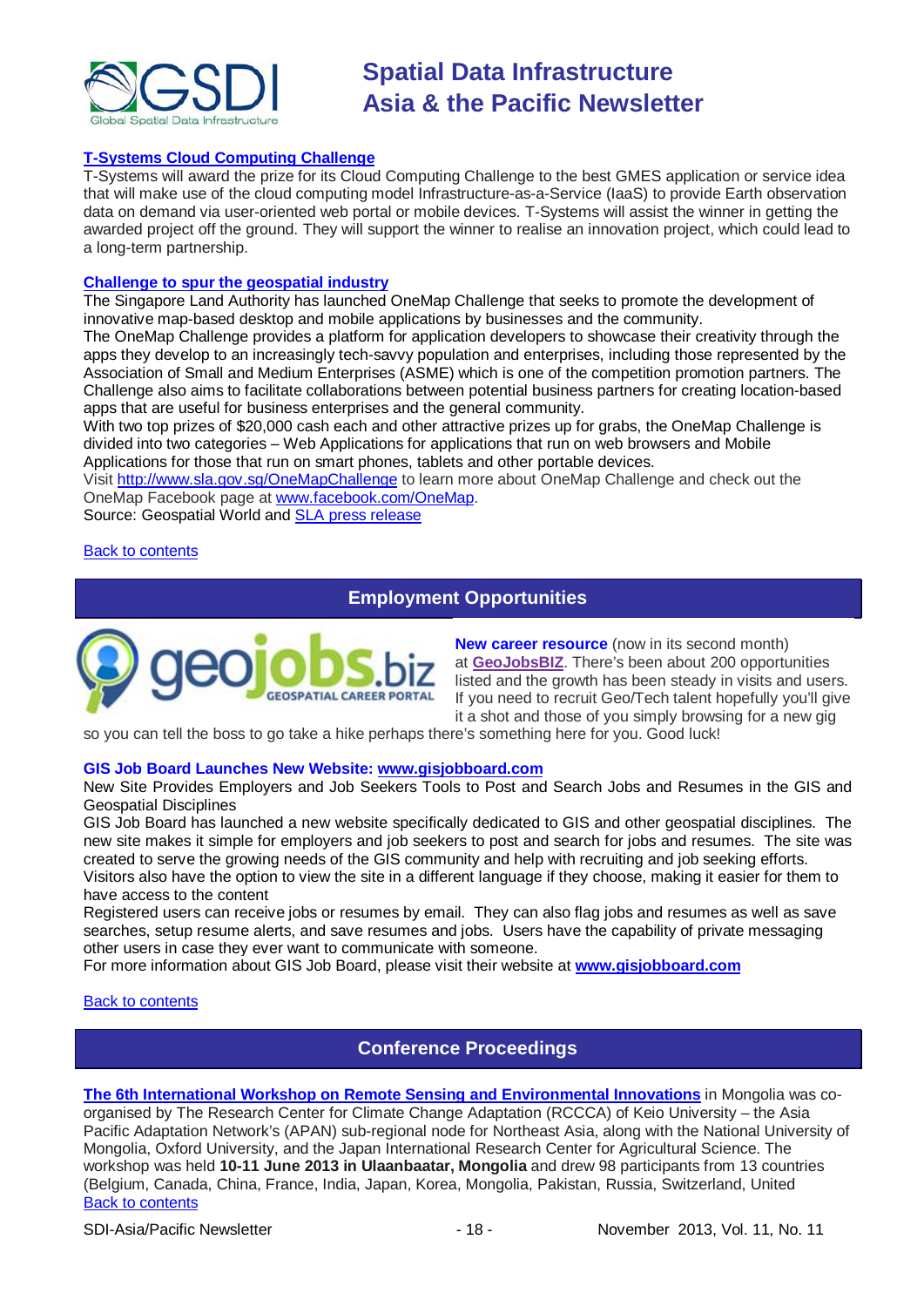

#### **[T-Systems Cloud Computing Challenge](http://www.gmes-masters.com/t-systems-cloud)**

T-Systems will award the prize for its Cloud Computing Challenge to the best GMES application or service idea that will make use of the cloud computing model Infrastructure-as-a-Service (IaaS) to provide Earth observation data on demand via user-oriented web portal or mobile devices. T-Systems will assist the winner in getting the awarded project off the ground. They will support the winner to realise an innovation project, which could lead to a long-term partnership.

#### **[Challenge to spur the geospatial industry](http://geospatialworld.net/index.php?option=com_content&view=article&id=23850:challenge-to-spur-the-geospatial-industry&catid=75:miscellaneous-events)**

The Singapore Land Authority has launched OneMap Challenge that seeks to promote the development of innovative map-based desktop and mobile applications by businesses and the community.

The OneMap Challenge provides a platform for application developers to showcase their creativity through the apps they develop to an increasingly tech-savvy population and enterprises, including those represented by the Association of Small and Medium Enterprises (ASME) which is one of the competition promotion partners. The Challenge also aims to facilitate collaborations between potential business partners for creating location-based apps that are useful for business enterprises and the general community.

With two top prizes of \$20,000 cash each and other attractive prizes up for grabs, the OneMap Challenge is divided into two categories – Web Applications for applications that run on web browsers and Mobile Applications for those that run on smart phones, tablets and other portable devices.

Visit <http://www.sla.gov.sg/OneMapChallenge> to learn more about OneMap Challenge and check out the OneMap Facebook page at [www.facebook.com/OneMap.](http://www.facebook.com/OneMap)

Source: Geospatial World and [SLA press release](http://www.sla.gov.sg/htm/new/new2012/new0401.htm)

#### <span id="page-17-0"></span>Back [to contents](#page-0-0)

### **Employment Opportunities**



**New career resource** (now in its second month) at **[GeoJobsBIZ](http://geojobs.biz/)**. There's been about 200 opportunities listed and the growth has been steady in visits and users. If you need to recruit Geo/Tech talent hopefully you'll give it a shot and those of you simply browsing for a new gig

so you can tell the boss to go take a hike perhaps there's something here for you. Good luck!

#### **GIS Job Board Launches New Website: [www.gisjobboard.com](http://www.gisjobboard.com/)**

New Site Provides Employers and Job Seekers Tools to Post and Search Jobs and Resumes in the GIS and Geospatial Disciplines

GIS Job Board has launched a new website specifically dedicated to GIS and other geospatial disciplines. The new site makes it simple for employers and job seekers to post and search for jobs and resumes. The site was created to serve the growing needs of the GIS community and help with recruiting and job seeking efforts. Visitors also have the option to view the site in a different language if they choose, making it easier for them to have access to the content

Registered users can receive jobs or resumes by email. They can also flag jobs and resumes as well as save searches, setup resume alerts, and save resumes and jobs. Users have the capability of private messaging other users in case they ever want to communicate with someone.

For more information about GIS Job Board, please visit their website at **[www.gisjobboard.com](http://www.gisjobboard.com/)**

#### <span id="page-17-1"></span>[Back to contents](#page-0-0)

### **Conference Proceedings**

[Back to contents](#page-0-0) **[The 6th International Workshop on Remote Sensing and Environmental Innovations](http://www.asiapacificadapt.net/resource/activity-brief-6th-international-workshop-remote-sensing-and-environmental-innovations)** in Mongolia was coorganised by The Research Center for Climate Change Adaptation (RCCCA) of Keio University – the Asia Pacific Adaptation Network's (APAN) sub-regional node for Northeast Asia, along with the National University of Mongolia, Oxford University, and the Japan International Research Center for Agricultural Science. The workshop was held **10-11 June 2013 in Ulaanbaatar, Mongolia** and drew 98 participants from 13 countries (Belgium, Canada, China, France, India, Japan, Korea, Mongolia, Pakistan, Russia, Switzerland, United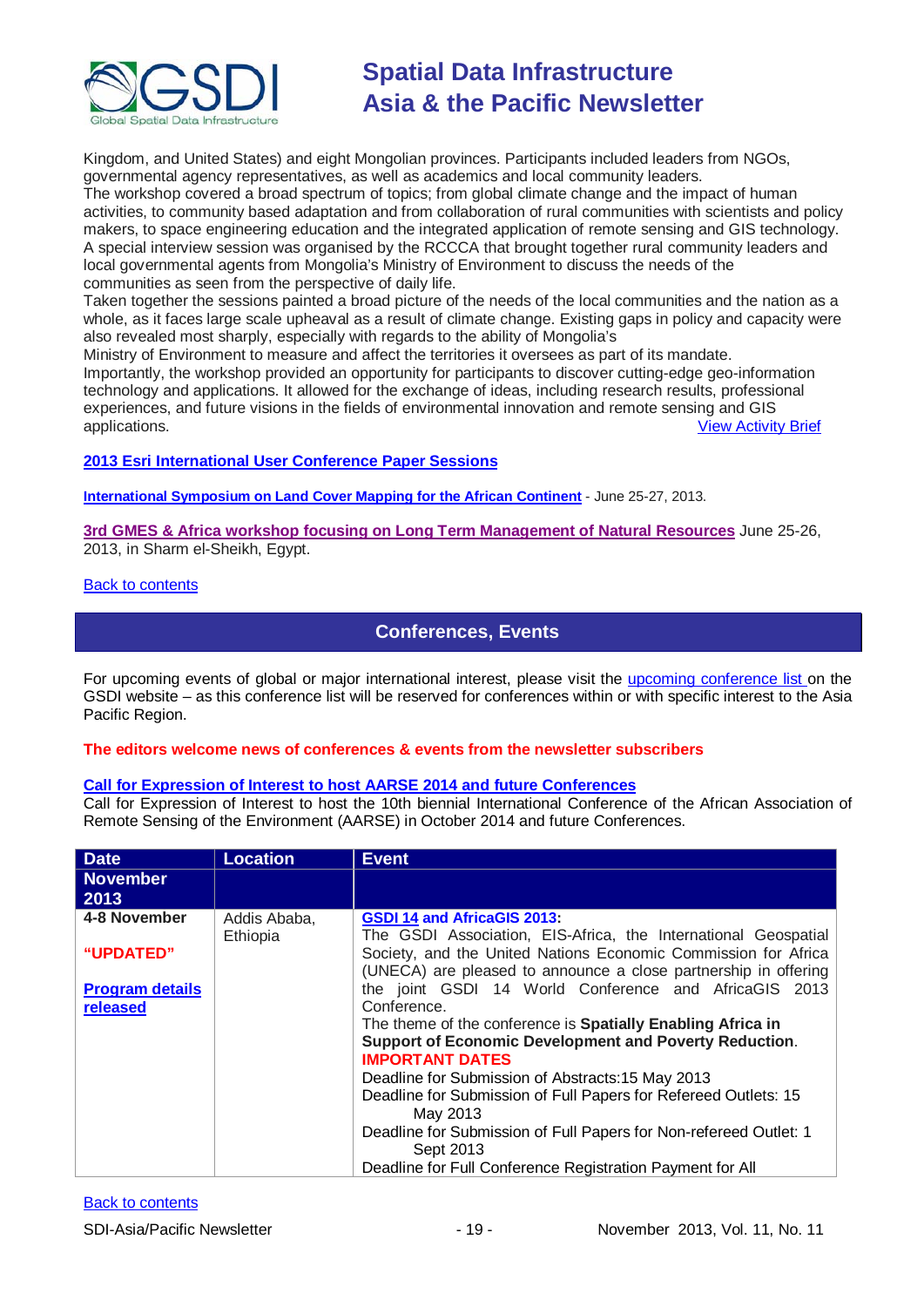

Kingdom, and United States) and eight Mongolian provinces. Participants included leaders from NGOs, governmental agency representatives, as well as academics and local community leaders.

The workshop covered a broad spectrum of topics; from global climate change and the impact of human activities, to community based adaptation and from collaboration of rural communities with scientists and policy makers, to space engineering education and the integrated application of remote sensing and GIS technology. A special interview session was organised by the RCCCA that brought together rural community leaders and local governmental agents from Mongolia's Ministry of Environment to discuss the needs of the communities as seen from the perspective of daily life.

Taken together the sessions painted a broad picture of the needs of the local communities and the nation as a whole, as it faces large scale upheaval as a result of climate change. Existing gaps in policy and capacity were also revealed most sharply, especially with regards to the ability of Mongolia's

Ministry of Environment to measure and affect the territories it oversees as part of its mandate. Importantly, the workshop provided an opportunity for participants to discover cutting-edge geo-information technology and applications. It allowed for the exchange of ideas, including research results, professional experiences, and future visions in the fields of environmental innovation and remote sensing and GIS applications. [View Activity Brief](http://www.apan-gan.net/sites/default/files/resource/attach/201310_APAN%20Activity%20Brief_KEIO%20RCCCA_Mongolia%20Workshop_fnl.pdf)

**[2013 Esri International User Conference Paper Sessions](http://proceedings.esri.com/library/userconf/proc13/index.html)**

**[International Symposium on Land Cover Mapping for the African Continent](http://data.ess.tsinghua.edu.cn/ISLandCoverAfrica.html)** - June 25-27, 2013.

**3rd [GMES & Africa workshop focusing on Long Term Management of Natural Resources](http://capacity4dev.ec.europa.eu/africa-eu-part.gmes/minisite/3-long-term-management-natural-resources-workshop)** June 25-26, 2013, in Sharm el-Sheikh, Egypt.

#### <span id="page-18-0"></span>[Back to contents](#page-0-0)

## **Conferences, Events**

For upcoming events of global or major international interest, please visit the [upcoming conference list o](http://gsdi.org/events/upcnf.asp)n the GSDI website – as this conference list will be reserved for conferences within or with specific interest to the Asia Pacific Region.

#### **The editors welcome news of conferences & events from the newsletter subscribers**

#### **[Call for Expression of Interest to host AARSE 2014 and future Conferences](http://lists.gsdi.org/pipermail/sdi-africa/2010-November/001135.html)**

Call for Expression of Interest to host the 10th biennial International Conference of the African Association of Remote Sensing of the Environment (AARSE) in October 2014 and future Conferences.

| <b>Date</b>                        | <b>Location</b> | <b>Event</b>                                                                                                                                                                                                                                                                    |
|------------------------------------|-----------------|---------------------------------------------------------------------------------------------------------------------------------------------------------------------------------------------------------------------------------------------------------------------------------|
| <b>November</b><br>2013            |                 |                                                                                                                                                                                                                                                                                 |
| 4-8 November                       | Addis Ababa,    | <b>GSDI 14 and AfricaGIS 2013:</b>                                                                                                                                                                                                                                              |
| "UPDATED"                          | Ethiopia        | The GSDI Association, EIS-Africa, the International Geospatial<br>Society, and the United Nations Economic Commission for Africa<br>(UNECA) are pleased to announce a close partnership in offering                                                                             |
| <b>Program details</b><br>released |                 | the joint GSDI 14 World Conference and AfricaGIS 2013<br>Conference.<br>The theme of the conference is Spatially Enabling Africa in<br><b>Support of Economic Development and Poverty Reduction.</b><br><b>IMPORTANT DATES</b>                                                  |
|                                    |                 | Deadline for Submission of Abstracts: 15 May 2013<br>Deadline for Submission of Full Papers for Refereed Outlets: 15<br>May 2013<br>Deadline for Submission of Full Papers for Non-refereed Outlet: 1<br>Sept 2013<br>Deadline for Full Conference Registration Payment for All |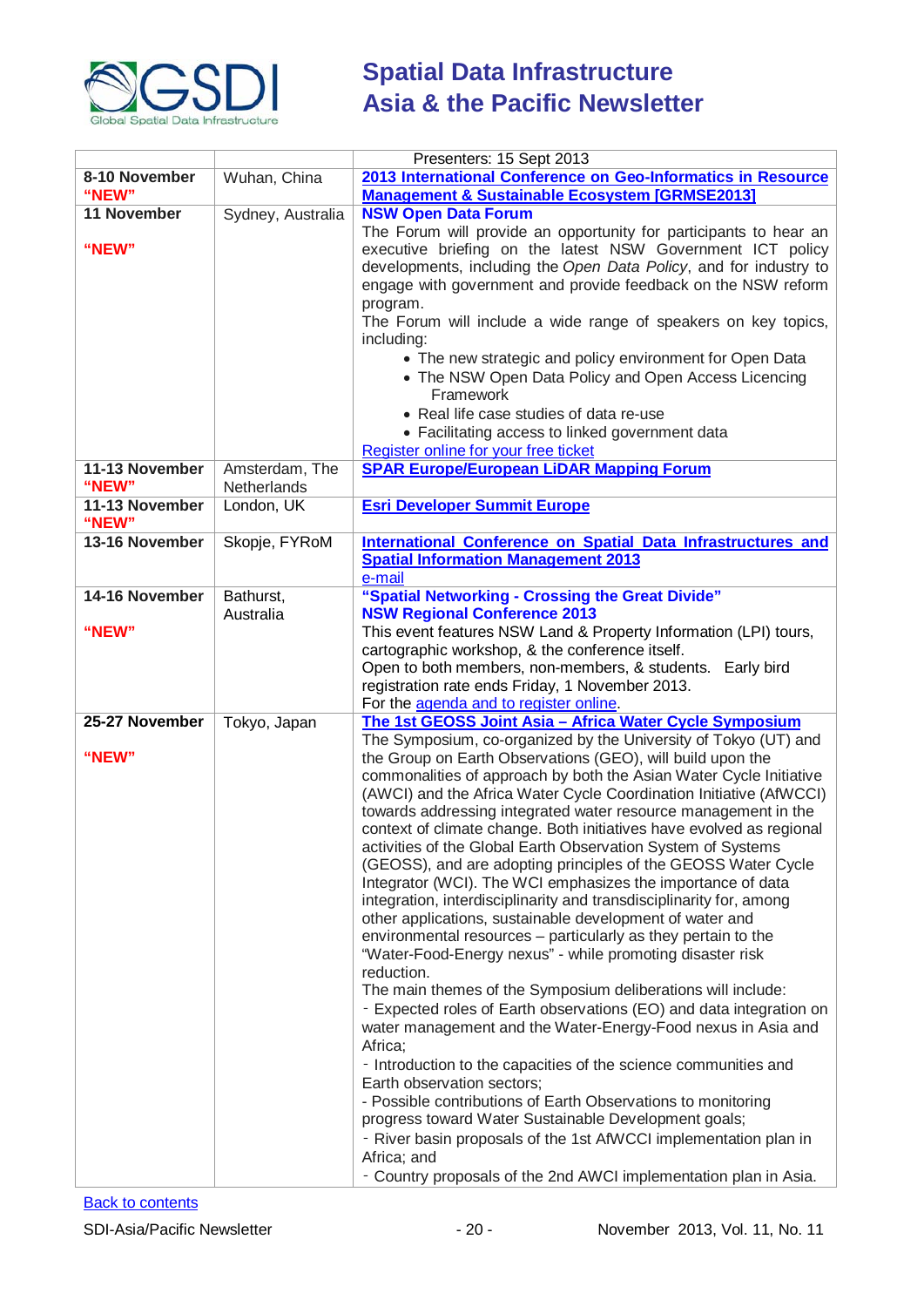

|                         |                   | Presenters: 15 Sept 2013                                                                                                               |
|-------------------------|-------------------|----------------------------------------------------------------------------------------------------------------------------------------|
| 8-10 November           | Wuhan, China      | 2013 International Conference on Geo-Informatics in Resource                                                                           |
| "NEW"                   |                   | <b>Management &amp; Sustainable Ecosystem [GRMSE2013]</b>                                                                              |
| 11 November             | Sydney, Australia | <b>NSW Open Data Forum</b>                                                                                                             |
|                         |                   | The Forum will provide an opportunity for participants to hear an                                                                      |
| "NEW"                   |                   | executive briefing on the latest NSW Government ICT policy                                                                             |
|                         |                   | developments, including the Open Data Policy, and for industry to                                                                      |
|                         |                   | engage with government and provide feedback on the NSW reform                                                                          |
|                         |                   | program.                                                                                                                               |
|                         |                   | The Forum will include a wide range of speakers on key topics,                                                                         |
|                         |                   | including:                                                                                                                             |
|                         |                   | • The new strategic and policy environment for Open Data                                                                               |
|                         |                   | • The NSW Open Data Policy and Open Access Licencing                                                                                   |
|                         |                   | Framework                                                                                                                              |
|                         |                   | • Real life case studies of data re-use                                                                                                |
|                         |                   | • Facilitating access to linked government data                                                                                        |
|                         |                   | Register online for your free ticket                                                                                                   |
| 11-13 November<br>"NEW" | Amsterdam, The    | <b>SPAR Europe/European LiDAR Mapping Forum</b>                                                                                        |
| 11-13 November          | Netherlands       |                                                                                                                                        |
| "NEW"                   | London, UK        | <b>Esri Developer Summit Europe</b>                                                                                                    |
| 13-16 November          | Skopje, FYRoM     | International Conference on Spatial Data Infrastructures and                                                                           |
|                         |                   | <b>Spatial Information Management 2013</b>                                                                                             |
|                         |                   | e-mail                                                                                                                                 |
| 14-16 November          | Bathurst,         | "Spatial Networking - Crossing the Great Divide"                                                                                       |
|                         | Australia         | <b>NSW Regional Conference 2013</b>                                                                                                    |
| "NEW"                   |                   | This event features NSW Land & Property Information (LPI) tours,                                                                       |
|                         |                   | cartographic workshop, & the conference itself.                                                                                        |
|                         |                   | Open to both members, non-members, & students. Early bird                                                                              |
|                         |                   | registration rate ends Friday, 1 November 2013.                                                                                        |
|                         |                   | For the agenda and to register online.                                                                                                 |
| 25-27 November          | Tokyo, Japan      | The 1st GEOSS Joint Asia - Africa Water Cycle Symposium                                                                                |
|                         |                   | The Symposium, co-organized by the University of Tokyo (UT) and                                                                        |
| "NEW"                   |                   | the Group on Earth Observations (GEO), will build upon the                                                                             |
|                         |                   | commonalities of approach by both the Asian Water Cycle Initiative                                                                     |
|                         |                   | (AWCI) and the Africa Water Cycle Coordination Initiative (AfWCCI)                                                                     |
|                         |                   | towards addressing integrated water resource management in the<br>context of climate change. Both initiatives have evolved as regional |
|                         |                   | activities of the Global Earth Observation System of Systems                                                                           |
|                         |                   | (GEOSS), and are adopting principles of the GEOSS Water Cycle                                                                          |
|                         |                   | Integrator (WCI). The WCI emphasizes the importance of data                                                                            |
|                         |                   | integration, interdisciplinarity and transdisciplinarity for, among                                                                    |
|                         |                   | other applications, sustainable development of water and                                                                               |
|                         |                   | environmental resources - particularly as they pertain to the                                                                          |
|                         |                   | "Water-Food-Energy nexus" - while promoting disaster risk                                                                              |
|                         |                   | reduction.                                                                                                                             |
|                         |                   | The main themes of the Symposium deliberations will include:                                                                           |
|                         |                   | - Expected roles of Earth observations (EO) and data integration on                                                                    |
|                         |                   | water management and the Water-Energy-Food nexus in Asia and                                                                           |
|                         |                   | Africa;                                                                                                                                |
|                         |                   | - Introduction to the capacities of the science communities and                                                                        |
|                         |                   | Earth observation sectors;                                                                                                             |
|                         |                   | - Possible contributions of Earth Observations to monitoring                                                                           |
|                         |                   | progress toward Water Sustainable Development goals;                                                                                   |
|                         |                   | - River basin proposals of the 1st AfWCCI implementation plan in                                                                       |
|                         |                   | Africa; and                                                                                                                            |
|                         |                   | - Country proposals of the 2nd AWCI implementation plan in Asia.                                                                       |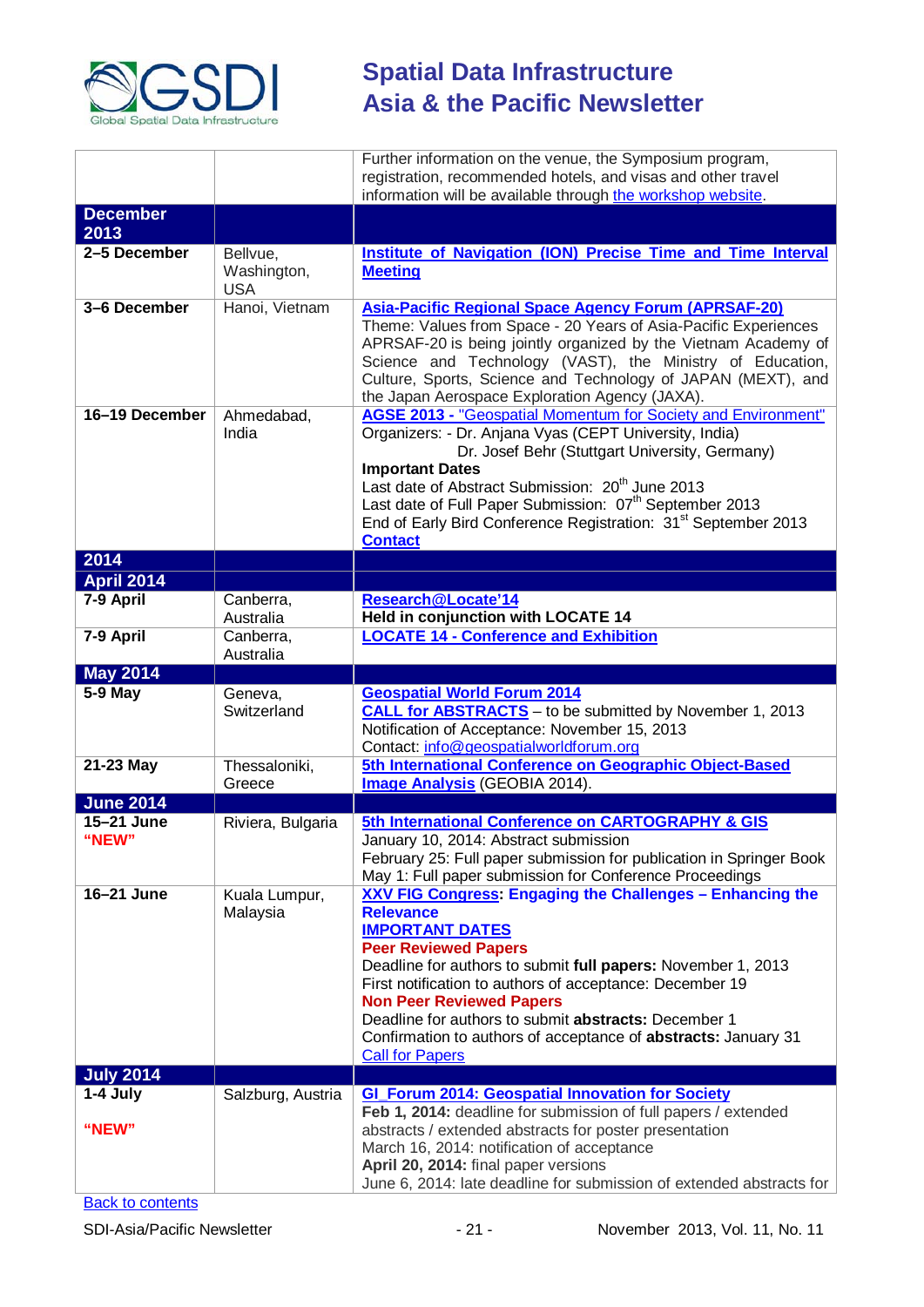

|                              |                                       | Further information on the venue, the Symposium program,<br>registration, recommended hotels, and visas and other travel<br>information will be available through the workshop website.                                                                                                                                                                                                                                                                          |
|------------------------------|---------------------------------------|------------------------------------------------------------------------------------------------------------------------------------------------------------------------------------------------------------------------------------------------------------------------------------------------------------------------------------------------------------------------------------------------------------------------------------------------------------------|
| <b>December</b><br>2013      |                                       |                                                                                                                                                                                                                                                                                                                                                                                                                                                                  |
| 2-5 December                 | Bellvue,<br>Washington,<br><b>USA</b> | Institute of Navigation (ION) Precise Time and Time Interval<br><b>Meeting</b>                                                                                                                                                                                                                                                                                                                                                                                   |
| 3-6 December                 | Hanoi, Vietnam                        | <b>Asia-Pacific Regional Space Agency Forum (APRSAF-20)</b><br>Theme: Values from Space - 20 Years of Asia-Pacific Experiences<br>APRSAF-20 is being jointly organized by the Vietnam Academy of<br>Science and Technology (VAST), the Ministry of Education,<br>Culture, Sports, Science and Technology of JAPAN (MEXT), and<br>the Japan Aerospace Exploration Agency (JAXA).                                                                                  |
| 16-19 December               | Ahmedabad,<br>India                   | AGSE 2013 - "Geospatial Momentum for Society and Environment"<br>Organizers: - Dr. Anjana Vyas (CEPT University, India)<br>Dr. Josef Behr (Stuttgart University, Germany)<br><b>Important Dates</b><br>Last date of Abstract Submission: 20 <sup>th</sup> June 2013<br>Last date of Full Paper Submission: 07 <sup>th</sup> September 2013<br>End of Early Bird Conference Registration: 31 <sup>st</sup> September 2013<br><b>Contact</b>                       |
| 2014<br><b>April 2014</b>    |                                       |                                                                                                                                                                                                                                                                                                                                                                                                                                                                  |
| 7-9 April                    | Canberra,                             | Research@Locate'14                                                                                                                                                                                                                                                                                                                                                                                                                                               |
|                              | Australia                             | <b>Held in conjunction with LOCATE 14</b>                                                                                                                                                                                                                                                                                                                                                                                                                        |
| 7-9 April                    | Canberra,<br>Australia                | <b>LOCATE 14 - Conference and Exhibition</b>                                                                                                                                                                                                                                                                                                                                                                                                                     |
| <b>May 2014</b>              |                                       |                                                                                                                                                                                                                                                                                                                                                                                                                                                                  |
| $5-9$ May                    | Geneva,<br>Switzerland                | <b>Geospatial World Forum 2014</b><br><b>CALL for ABSTRACTS</b> - to be submitted by November 1, 2013<br>Notification of Acceptance: November 15, 2013<br>Contact: info@geospatialworldforum.org                                                                                                                                                                                                                                                                 |
|                              |                                       |                                                                                                                                                                                                                                                                                                                                                                                                                                                                  |
| 21-23 May                    | Thessaloniki,<br>Greece               | 5th International Conference on Geographic Object-Based<br><b>Image Analysis (GEOBIA 2014).</b>                                                                                                                                                                                                                                                                                                                                                                  |
| <b>June 2014</b>             |                                       |                                                                                                                                                                                                                                                                                                                                                                                                                                                                  |
| 15-21 June<br>"NEW"          | Riviera, Bulgaria                     | 5th International Conference on CARTOGRAPHY & GIS<br>January 10, 2014: Abstract submission<br>February 25: Full paper submission for publication in Springer Book<br>May 1: Full paper submission for Conference Proceedings                                                                                                                                                                                                                                     |
| 16-21 June                   | Kuala Lumpur,<br>Malaysia             | <b>XXV FIG Congress: Engaging the Challenges - Enhancing the</b><br><b>Relevance</b><br><b>IMPORTANT DATES</b><br><b>Peer Reviewed Papers</b><br>Deadline for authors to submit full papers: November 1, 2013<br>First notification to authors of acceptance: December 19<br><b>Non Peer Reviewed Papers</b><br>Deadline for authors to submit abstracts: December 1<br>Confirmation to authors of acceptance of abstracts: January 31<br><b>Call for Papers</b> |
| <b>July 2014</b><br>1-4 July |                                       | <b>GI_Forum 2014: Geospatial Innovation for Society</b>                                                                                                                                                                                                                                                                                                                                                                                                          |